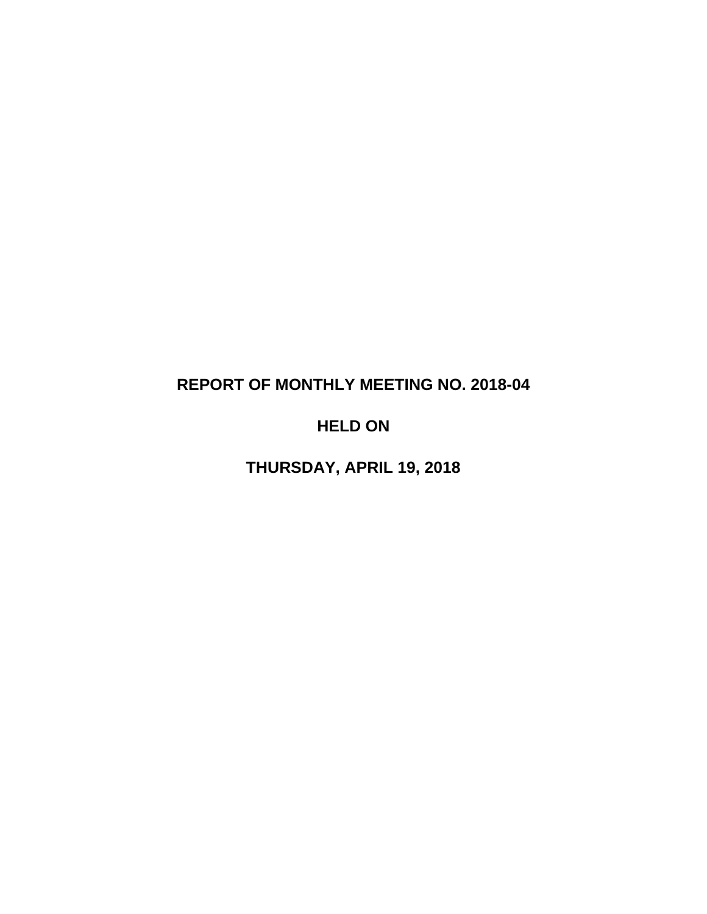# **REPORT OF MONTHLY MEETING NO. 2018-04**

# **HELD ON**

**THURSDAY, APRIL 19, 2018**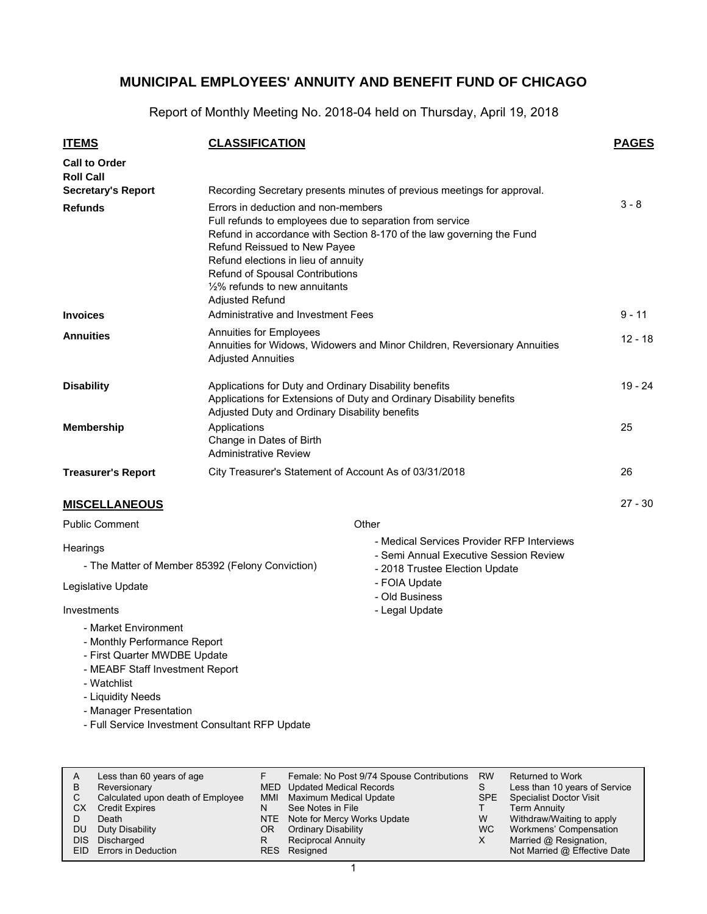Report of Monthly Meeting No. 2018-04 held on Thursday, April 19, 2018

| <b>ITEMS</b>                                                                                                                                                | <b>CLASSIFICATION</b>                                                                                                                                                                                                                                                            |                                                                                                                        | <b>PAGES</b> |  |  |
|-------------------------------------------------------------------------------------------------------------------------------------------------------------|----------------------------------------------------------------------------------------------------------------------------------------------------------------------------------------------------------------------------------------------------------------------------------|------------------------------------------------------------------------------------------------------------------------|--------------|--|--|
| <b>Call to Order</b>                                                                                                                                        |                                                                                                                                                                                                                                                                                  |                                                                                                                        |              |  |  |
| <b>Roll Call</b>                                                                                                                                            |                                                                                                                                                                                                                                                                                  |                                                                                                                        |              |  |  |
| <b>Secretary's Report</b>                                                                                                                                   |                                                                                                                                                                                                                                                                                  | Recording Secretary presents minutes of previous meetings for approval.                                                |              |  |  |
| <b>Refunds</b>                                                                                                                                              | Errors in deduction and non-members<br>Full refunds to employees due to separation from service<br>Refund Reissued to New Payee<br>Refund elections in lieu of annuity<br>Refund of Spousal Contributions<br>$\frac{1}{2}\%$ refunds to new annuitants<br><b>Adiusted Refund</b> | Refund in accordance with Section 8-170 of the law governing the Fund                                                  | $3 - 8$      |  |  |
| <b>Invoices</b>                                                                                                                                             | Administrative and Investment Fees                                                                                                                                                                                                                                               |                                                                                                                        | $9 - 11$     |  |  |
| <b>Annuities</b>                                                                                                                                            | Annuities for Employees<br>Annuities for Widows, Widowers and Minor Children, Reversionary Annuities<br><b>Adjusted Annuities</b>                                                                                                                                                |                                                                                                                        |              |  |  |
| <b>Disability</b>                                                                                                                                           | Applications for Duty and Ordinary Disability benefits<br>Applications for Extensions of Duty and Ordinary Disability benefits<br>Adjusted Duty and Ordinary Disability benefits                                                                                                 | $19 - 24$                                                                                                              |              |  |  |
| <b>Membership</b>                                                                                                                                           | Applications<br>Change in Dates of Birth<br><b>Administrative Review</b>                                                                                                                                                                                                         |                                                                                                                        |              |  |  |
| <b>Treasurer's Report</b>                                                                                                                                   | City Treasurer's Statement of Account As of 03/31/2018                                                                                                                                                                                                                           |                                                                                                                        | 26           |  |  |
| <b>MISCELLANEOUS</b>                                                                                                                                        |                                                                                                                                                                                                                                                                                  |                                                                                                                        | $27 - 30$    |  |  |
| <b>Public Comment</b>                                                                                                                                       |                                                                                                                                                                                                                                                                                  | Other                                                                                                                  |              |  |  |
| Hearings                                                                                                                                                    | - The Matter of Member 85392 (Felony Conviction)                                                                                                                                                                                                                                 | - Medical Services Provider RFP Interviews<br>- Semi Annual Executive Session Review<br>- 2018 Trustee Election Update |              |  |  |
| Legislative Update                                                                                                                                          |                                                                                                                                                                                                                                                                                  | - FOIA Update<br>- Old Business                                                                                        |              |  |  |
| Investments                                                                                                                                                 |                                                                                                                                                                                                                                                                                  | - Legal Update                                                                                                         |              |  |  |
| - Market Environment<br>- Monthly Performance Report<br>- First Quarter MWDBE Update<br>- MEABF Staff Investment Report<br>- Watchlist<br>- Liquidity Needs |                                                                                                                                                                                                                                                                                  |                                                                                                                        |              |  |  |

- Manager Presentation
- Full Service Investment Consultant RFP Update

| A<br>В | Less than 60 years of age<br>Reversionary<br>Calculated upon death of Employee | MMI | Female: No Post 9/74 Spouse Contributions<br>MED Updated Medical Records<br>Maximum Medical Update | <b>RW</b><br>SPE | Returned to Work<br>Less than 10 years of Service<br><b>Specialist Doctor Visit</b> |
|--------|--------------------------------------------------------------------------------|-----|----------------------------------------------------------------------------------------------------|------------------|-------------------------------------------------------------------------------------|
| СX     | <b>Credit Expires</b><br>Death                                                 | N   | See Notes in File                                                                                  | W                | Term Annuity                                                                        |
| DU     | Duty Disability                                                                | OR. | NTE Note for Mercy Works Update<br><b>Ordinary Disability</b>                                      | WC.              | Withdraw/Waiting to apply<br>Workmens' Compensation                                 |
| DIS.   | Discharged<br>EID Errors in Deduction                                          | R   | <b>Reciprocal Annuity</b><br>RES Resigned                                                          | х                | Married @ Resignation,<br>Not Married @ Effective Date                              |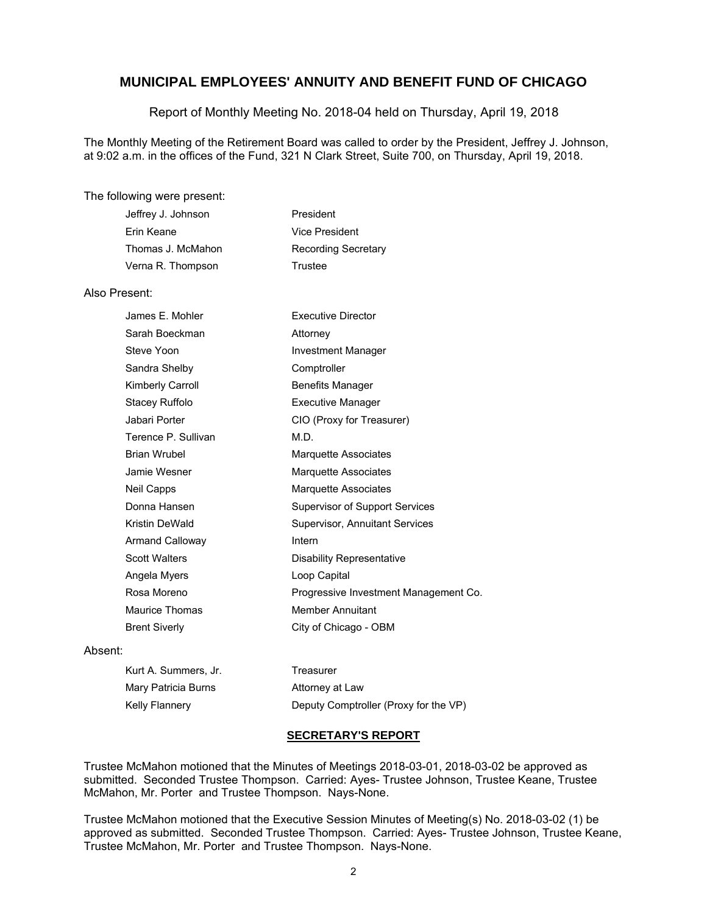Report of Monthly Meeting No. 2018-04 held on Thursday, April 19, 2018

The Monthly Meeting of the Retirement Board was called to order by the President, Jeffrey J. Johnson, at 9:02 a.m. in the offices of the Fund, 321 N Clark Street, Suite 700, on Thursday, April 19, 2018.

#### The following were present:

| Jeffrey J. Johnson | President           |
|--------------------|---------------------|
| Erin Keane         | Vice President      |
| Thomas J. McMahon  | Recording Secretary |
| Verna R. Thompson  | Trustee             |

#### Also Present:

| James E. Mohler        | <b>Executive Director</b>             |
|------------------------|---------------------------------------|
| Sarah Boeckman         | Attorney                              |
| Steve Yoon             | Investment Manager                    |
| Sandra Shelby          | Comptroller                           |
| Kimberly Carroll       | <b>Benefits Manager</b>               |
| Stacey Ruffolo         | <b>Executive Manager</b>              |
| Jabari Porter          | CIO (Proxy for Treasurer)             |
| Terence P. Sullivan    | M.D.                                  |
| <b>Brian Wrubel</b>    | <b>Marquette Associates</b>           |
| Jamie Wesner           | Marquette Associates                  |
| Neil Capps             | Marquette Associates                  |
| Donna Hansen           | <b>Supervisor of Support Services</b> |
| Kristin DeWald         | <b>Supervisor, Annuitant Services</b> |
| <b>Armand Calloway</b> | Intern                                |
| <b>Scott Walters</b>   | Disability Representative             |
| Angela Myers           | Loop Capital                          |
| Rosa Moreno            | Progressive Investment Management Co. |
| <b>Maurice Thomas</b>  | <b>Member Annuitant</b>               |
| <b>Brent Siverly</b>   | City of Chicago - OBM                 |

#### Absent:

| Kurt A. Summers, Jr. | Treasurer                             |
|----------------------|---------------------------------------|
| Mary Patricia Burns  | Attorney at Law                       |
| Kelly Flannery       | Deputy Comptroller (Proxy for the VP) |

#### **SECRETARY'S REPORT**

Trustee McMahon motioned that the Minutes of Meetings 2018-03-01, 2018-03-02 be approved as submitted. Seconded Trustee Thompson. Carried: Ayes- Trustee Johnson, Trustee Keane, Trustee McMahon, Mr. Porter and Trustee Thompson. Nays-None.

Trustee McMahon motioned that the Executive Session Minutes of Meeting(s) No. 2018-03-02 (1) be approved as submitted. Seconded Trustee Thompson. Carried: Ayes- Trustee Johnson, Trustee Keane, Trustee McMahon, Mr. Porter and Trustee Thompson. Nays-None.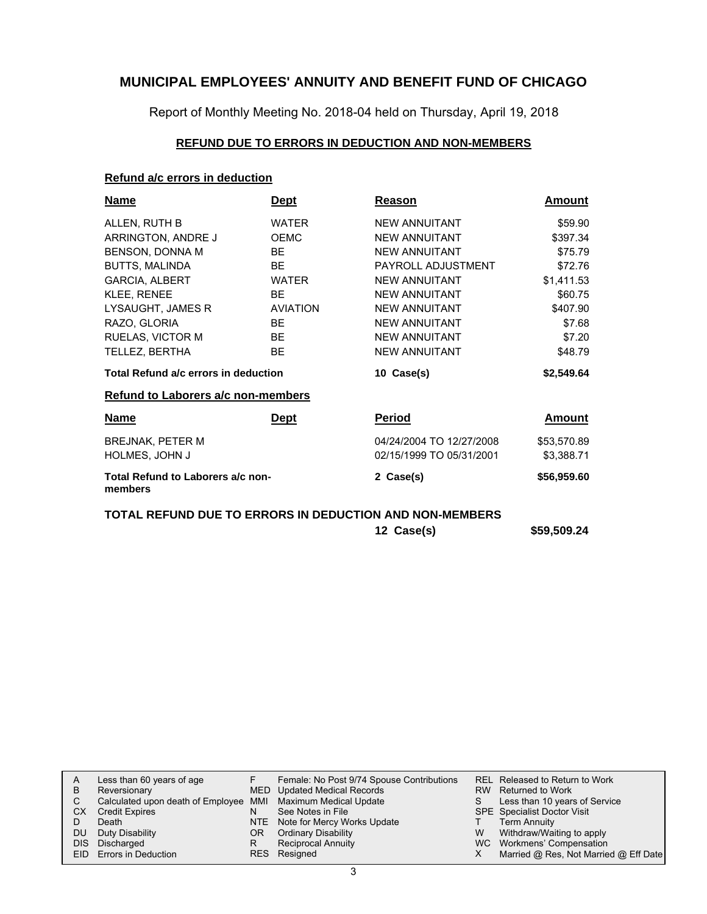Report of Monthly Meeting No. 2018-04 held on Thursday, April 19, 2018

### **REFUND DUE TO ERRORS IN DEDUCTION AND NON-MEMBERS**

### **Refund a/c errors in deduction**

| <b>Name</b>                                  | <b>Dept</b>     | Reason                   | Amount      |
|----------------------------------------------|-----------------|--------------------------|-------------|
| ALLEN, RUTH B                                | <b>WATER</b>    | <b>NEW ANNUITANT</b>     | \$59.90     |
| ARRINGTON, ANDRE J                           | <b>OEMC</b>     | <b>NEW ANNUITANT</b>     | \$397.34    |
| BENSON, DONNA M                              | <b>BF</b>       | NFW ANNUITANT            | \$75.79     |
| <b>BUTTS, MALINDA</b>                        | <b>BE</b>       | PAYROLL ADJUSTMENT       | \$72.76     |
| <b>GARCIA, ALBERT</b>                        | <b>WATER</b>    | <b>NEW ANNUITANT</b>     | \$1,411.53  |
| <b>KLEE, RENEE</b>                           | <b>BE</b>       | <b>NEW ANNUITANT</b>     | \$60.75     |
| LYSAUGHT, JAMES R                            | <b>AVIATION</b> | <b>NEW ANNUITANT</b>     | \$407.90    |
| RAZO, GLORIA                                 | <b>BF</b>       | <b>NEW ANNUITANT</b>     | \$7.68      |
| <b>RUELAS, VICTOR M</b>                      | <b>BE</b>       | <b>NEW ANNUITANT</b>     | \$7.20      |
| TELLEZ, BERTHA                               | <b>BE</b>       | <b>NEW ANNUITANT</b>     | \$48.79     |
| Total Refund a/c errors in deduction         |                 | 10 Case(s)               | \$2,549.64  |
| <b>Refund to Laborers a/c non-members</b>    |                 |                          |             |
| Name                                         | <b>Dept</b>     | <b>Period</b>            | Amount      |
| <b>BREJNAK, PETER M</b>                      |                 | 04/24/2004 TO 12/27/2008 | \$53,570.89 |
| HOLMES, JOHN J                               |                 | 02/15/1999 TO 05/31/2001 | \$3,388.71  |
| Total Refund to Laborers a/c non-<br>members |                 | 2 Case(s)                | \$56,959.60 |

### **TOTAL REFUND DUE TO ERRORS IN DEDUCTION AND NON-MEMBERS**

| 12 Case(s) | \$59,509.24 |
|------------|-------------|
|            |             |

| A    | Less than 60 years of age                                    |     | Female: No Post 9/74 Spouse Contributions |   | REL Released to Return to Work        |
|------|--------------------------------------------------------------|-----|-------------------------------------------|---|---------------------------------------|
| В    | Reversionary                                                 |     | MED Updated Medical Records               |   | RW Returned to Work                   |
|      | Calculated upon death of Employee MMI Maximum Medical Update |     |                                           |   | Less than 10 years of Service         |
| CХ   | <b>Credit Expires</b>                                        | N   | See Notes in File                         |   | <b>SPE</b> Specialist Doctor Visit    |
|      | Death                                                        |     | NTE Note for Mercy Works Update           |   | <b>Term Annuity</b>                   |
| DU   | Duty Disability                                              | OR. | <b>Ordinary Disability</b>                | W | Withdraw/Waiting to apply             |
| DIS. | Discharged                                                   | R   | <b>Reciprocal Annuity</b>                 |   | WC Workmens' Compensation             |
|      | EID Errors in Deduction                                      |     | RES Resigned                              |   | Married @ Res, Not Married @ Eff Date |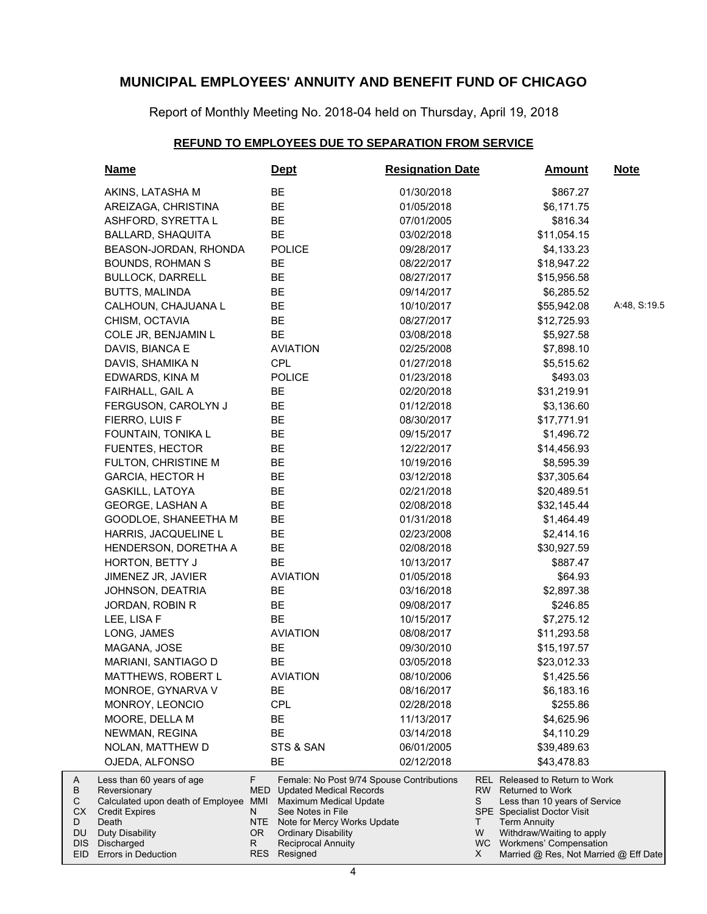Report of Monthly Meeting No. 2018-04 held on Thursday, April 19, 2018

### **REFUND TO EMPLOYEES DUE TO SEPARATION FROM SERVICE**

| <b>Name</b>                                                                                                                                           |                                     | <u>Dept</u>                                                                                                                                                                                                          | <b>Resignation Date</b>     | <u>Amount</u>                                                                                                                                                                                           | <u>Note</u>  |
|-------------------------------------------------------------------------------------------------------------------------------------------------------|-------------------------------------|----------------------------------------------------------------------------------------------------------------------------------------------------------------------------------------------------------------------|-----------------------------|---------------------------------------------------------------------------------------------------------------------------------------------------------------------------------------------------------|--------------|
| AKINS, LATASHA M                                                                                                                                      |                                     | BE                                                                                                                                                                                                                   | 01/30/2018                  | \$867.27                                                                                                                                                                                                |              |
| AREIZAGA, CHRISTINA                                                                                                                                   |                                     | BE                                                                                                                                                                                                                   | 01/05/2018                  | \$6,171.75                                                                                                                                                                                              |              |
| ASHFORD, SYRETTA L                                                                                                                                    |                                     | BE                                                                                                                                                                                                                   | 07/01/2005                  | \$816.34                                                                                                                                                                                                |              |
| BALLARD, SHAQUITA                                                                                                                                     |                                     | BE                                                                                                                                                                                                                   | 03/02/2018                  | \$11,054.15                                                                                                                                                                                             |              |
| BEASON-JORDAN, RHONDA                                                                                                                                 |                                     | <b>POLICE</b>                                                                                                                                                                                                        | 09/28/2017                  | \$4,133.23                                                                                                                                                                                              |              |
| <b>BOUNDS, ROHMAN S</b>                                                                                                                               |                                     | BE                                                                                                                                                                                                                   | 08/22/2017                  | \$18,947.22                                                                                                                                                                                             |              |
| <b>BULLOCK, DARRELL</b>                                                                                                                               |                                     | BE                                                                                                                                                                                                                   | 08/27/2017                  | \$15,956.58                                                                                                                                                                                             |              |
| <b>BUTTS, MALINDA</b>                                                                                                                                 |                                     | BE                                                                                                                                                                                                                   | 09/14/2017                  | \$6,285.52                                                                                                                                                                                              |              |
| CALHOUN, CHAJUANA L                                                                                                                                   |                                     | BE                                                                                                                                                                                                                   | 10/10/2017                  | \$55,942.08                                                                                                                                                                                             | A:48, S:19.5 |
| CHISM, OCTAVIA                                                                                                                                        |                                     | <b>BE</b>                                                                                                                                                                                                            | 08/27/2017                  | \$12,725.93                                                                                                                                                                                             |              |
| COLE JR, BENJAMIN L                                                                                                                                   |                                     | <b>BE</b>                                                                                                                                                                                                            | 03/08/2018                  | \$5,927.58                                                                                                                                                                                              |              |
| DAVIS, BIANCA E                                                                                                                                       |                                     | <b>AVIATION</b>                                                                                                                                                                                                      | 02/25/2008                  | \$7,898.10                                                                                                                                                                                              |              |
| DAVIS, SHAMIKA N                                                                                                                                      |                                     | <b>CPL</b>                                                                                                                                                                                                           | 01/27/2018                  | \$5,515.62                                                                                                                                                                                              |              |
| EDWARDS, KINA M                                                                                                                                       |                                     | <b>POLICE</b>                                                                                                                                                                                                        | 01/23/2018                  | \$493.03                                                                                                                                                                                                |              |
| FAIRHALL, GAIL A                                                                                                                                      |                                     | BE                                                                                                                                                                                                                   | 02/20/2018                  | \$31,219.91                                                                                                                                                                                             |              |
| FERGUSON, CAROLYN J                                                                                                                                   |                                     | BE                                                                                                                                                                                                                   | 01/12/2018                  | \$3,136.60                                                                                                                                                                                              |              |
| FIERRO, LUIS F                                                                                                                                        |                                     | <b>BE</b>                                                                                                                                                                                                            | 08/30/2017                  | \$17,771.91                                                                                                                                                                                             |              |
| FOUNTAIN, TONIKA L                                                                                                                                    |                                     | BE                                                                                                                                                                                                                   | 09/15/2017                  | \$1,496.72                                                                                                                                                                                              |              |
| <b>FUENTES, HECTOR</b>                                                                                                                                |                                     | <b>BE</b>                                                                                                                                                                                                            | 12/22/2017                  | \$14,456.93                                                                                                                                                                                             |              |
| FULTON, CHRISTINE M                                                                                                                                   |                                     | BE                                                                                                                                                                                                                   | 10/19/2016                  | \$8,595.39                                                                                                                                                                                              |              |
| <b>GARCIA, HECTOR H</b>                                                                                                                               |                                     | BE                                                                                                                                                                                                                   | 03/12/2018                  | \$37,305.64                                                                                                                                                                                             |              |
| <b>GASKILL, LATOYA</b>                                                                                                                                |                                     | BE                                                                                                                                                                                                                   | 02/21/2018                  | \$20,489.51                                                                                                                                                                                             |              |
| GEORGE, LASHAN A                                                                                                                                      |                                     | BE                                                                                                                                                                                                                   | 02/08/2018                  | \$32,145.44                                                                                                                                                                                             |              |
| GOODLOE, SHANEETHA M                                                                                                                                  |                                     | BE                                                                                                                                                                                                                   | 01/31/2018                  | \$1,464.49                                                                                                                                                                                              |              |
| HARRIS, JACQUELINE L                                                                                                                                  |                                     | BE                                                                                                                                                                                                                   | 02/23/2008                  | \$2,414.16                                                                                                                                                                                              |              |
| HENDERSON, DORETHA A                                                                                                                                  |                                     | BE                                                                                                                                                                                                                   | 02/08/2018                  | \$30,927.59                                                                                                                                                                                             |              |
| HORTON, BETTY J                                                                                                                                       |                                     | BE                                                                                                                                                                                                                   | 10/13/2017                  | \$887.47                                                                                                                                                                                                |              |
| JIMENEZ JR, JAVIER                                                                                                                                    |                                     | <b>AVIATION</b>                                                                                                                                                                                                      | 01/05/2018                  | \$64.93                                                                                                                                                                                                 |              |
| JOHNSON, DEATRIA                                                                                                                                      |                                     | <b>BE</b>                                                                                                                                                                                                            | 03/16/2018                  | \$2,897.38                                                                                                                                                                                              |              |
| JORDAN, ROBIN R                                                                                                                                       |                                     | <b>BE</b>                                                                                                                                                                                                            | 09/08/2017                  | \$246.85                                                                                                                                                                                                |              |
| LEE, LISA F                                                                                                                                           |                                     | <b>BE</b>                                                                                                                                                                                                            | 10/15/2017                  | \$7,275.12                                                                                                                                                                                              |              |
| LONG, JAMES                                                                                                                                           |                                     | <b>AVIATION</b>                                                                                                                                                                                                      | 08/08/2017                  | \$11,293.58                                                                                                                                                                                             |              |
| MAGANA, JOSE                                                                                                                                          |                                     | <b>BE</b>                                                                                                                                                                                                            | 09/30/2010                  | \$15,197.57                                                                                                                                                                                             |              |
| MARIANI, SANTIAGO D                                                                                                                                   |                                     | <b>BE</b>                                                                                                                                                                                                            | 03/05/2018                  | \$23,012.33                                                                                                                                                                                             |              |
| <b>MATTHEWS, ROBERT L</b>                                                                                                                             |                                     | <b>AVIATION</b>                                                                                                                                                                                                      | 08/10/2006                  | \$1,425.56                                                                                                                                                                                              |              |
| <b>MONROE, GYNARVA V</b>                                                                                                                              |                                     | BE                                                                                                                                                                                                                   | 08/16/2017                  | \$6,183.16                                                                                                                                                                                              |              |
| MONROY, LEONCIO                                                                                                                                       |                                     | <b>CPL</b>                                                                                                                                                                                                           | 02/28/2018                  | \$255.86                                                                                                                                                                                                |              |
| MOORE, DELLA M                                                                                                                                        |                                     | BE                                                                                                                                                                                                                   | 11/13/2017                  | \$4,625.96                                                                                                                                                                                              |              |
| NEWMAN, REGINA                                                                                                                                        |                                     | BE                                                                                                                                                                                                                   | 03/14/2018                  | \$4,110.29                                                                                                                                                                                              |              |
| NOLAN, MATTHEW D                                                                                                                                      |                                     | STS & SAN                                                                                                                                                                                                            | 06/01/2005                  | \$39,489.63                                                                                                                                                                                             |              |
| OJEDA, ALFONSO                                                                                                                                        |                                     | BE                                                                                                                                                                                                                   | 02/12/2018                  | \$43,478.83                                                                                                                                                                                             |              |
| Less than 60 years of age<br>Reversionary<br>Calculated upon death of Employee MMI<br><b>Credit Expires</b><br>Death<br>Duty Disability<br>Discharged | F.<br>MED<br>N.<br>NTE<br>OR.<br>R. | Female: No Post 9/74 Spouse Contributions<br><b>Updated Medical Records</b><br>Maximum Medical Update<br>See Notes in File<br>Note for Mercy Works Update<br><b>Ordinary Disability</b><br><b>Reciprocal Annuity</b> | RW  <br>S<br>Τ<br>W<br>WC . | REL Released to Return to Work<br><b>Returned to Work</b><br>Less than 10 years of Service<br>SPE Specialist Doctor Visit<br><b>Term Annuity</b><br>Withdraw/Waiting to apply<br>Workmens' Compensation |              |
| Errors in Deduction                                                                                                                                   | RES                                 | Resigned                                                                                                                                                                                                             | X                           | Married @ Res, Not Married @ Eff Date                                                                                                                                                                   |              |

A B C CX D DU DIS EID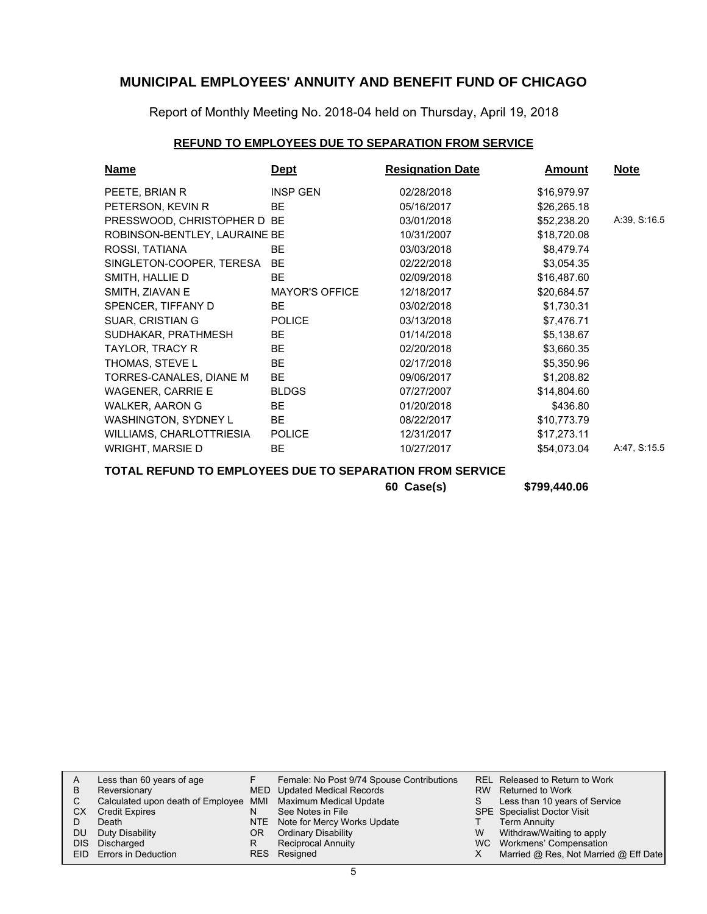Report of Monthly Meeting No. 2018-04 held on Thursday, April 19, 2018

### **REFUND TO EMPLOYEES DUE TO SEPARATION FROM SERVICE**

| <b>Name</b>                   | <u>Dept</u>           | <b>Resignation Date</b> | <b>Amount</b> | <u>Note</u>  |
|-------------------------------|-----------------------|-------------------------|---------------|--------------|
| PEETE, BRIAN R                | <b>INSP GEN</b>       | 02/28/2018              | \$16,979.97   |              |
| PETERSON, KEVIN R             | BE.                   | 05/16/2017              | \$26,265.18   |              |
| PRESSWOOD, CHRISTOPHER D BE   |                       | 03/01/2018              | \$52,238.20   | A:39, S:16.5 |
| ROBINSON-BENTLEY, LAURAINE BE |                       | 10/31/2007              | \$18,720.08   |              |
| ROSSI, TATIANA                | BE.                   | 03/03/2018              | \$8,479.74    |              |
| SINGLETON-COOPER, TERESA      | <b>BE</b>             | 02/22/2018              | \$3,054.35    |              |
| SMITH, HALLIE D               | BE.                   | 02/09/2018              | \$16,487.60   |              |
| SMITH, ZIAVAN E               | <b>MAYOR'S OFFICE</b> | 12/18/2017              | \$20,684.57   |              |
| SPENCER, TIFFANY D            | BE.                   | 03/02/2018              | \$1,730.31    |              |
| <b>SUAR, CRISTIAN G</b>       | <b>POLICE</b>         | 03/13/2018              | \$7,476.71    |              |
| SUDHAKAR, PRATHMESH           | BE                    | 01/14/2018              | \$5,138.67    |              |
| TAYLOR, TRACY R               | BE.                   | 02/20/2018              | \$3,660.35    |              |
| THOMAS, STEVE L               | <b>BE</b>             | 02/17/2018              | \$5,350.96    |              |
| TORRES-CANALES, DIANE M       | <b>BE</b>             | 09/06/2017              | \$1,208.82    |              |
| <b>WAGENER, CARRIE E</b>      | <b>BLDGS</b>          | 07/27/2007              | \$14,804.60   |              |
| WALKER, AARON G               | BE                    | 01/20/2018              | \$436.80      |              |
| WASHINGTON, SYDNEY L          | BE                    | 08/22/2017              | \$10,773.79   |              |
| WILLIAMS, CHARLOTTRIESIA      | <b>POLICE</b>         | 12/31/2017              | \$17,273.11   |              |
| WRIGHT, MARSIE D              | BE                    | 10/27/2017              | \$54,073.04   | A:47, S:15.5 |

### **TOTAL REFUND TO EMPLOYEES DUE TO SEPARATION FROM SERVICE**

**60 Case(s) \$799,440.06**

| A    | Less than 60 years of age                                    |     | Female: No Post 9/74 Spouse Contributions |   | REL Released to Return to Work        |
|------|--------------------------------------------------------------|-----|-------------------------------------------|---|---------------------------------------|
| B    | Reversionary                                                 |     | MED Updated Medical Records               |   | RW Returned to Work                   |
|      | Calculated upon death of Employee MMI Maximum Medical Update |     |                                           | S | Less than 10 years of Service         |
| CХ   | <b>Credit Expires</b>                                        | N   | See Notes in File                         |   | <b>SPE</b> Specialist Doctor Visit    |
|      | Death                                                        |     | NTE Note for Mercy Works Update           |   | <b>Term Annuity</b>                   |
| DU   | Duty Disability                                              | OR. | <b>Ordinary Disability</b>                | W | Withdraw/Waiting to apply             |
| DIS. | Discharged                                                   | R   | <b>Reciprocal Annuity</b>                 |   | WC Workmens' Compensation             |
| EID. | Errors in Deduction                                          |     | RES Resigned                              |   | Married @ Res, Not Married @ Eff Date |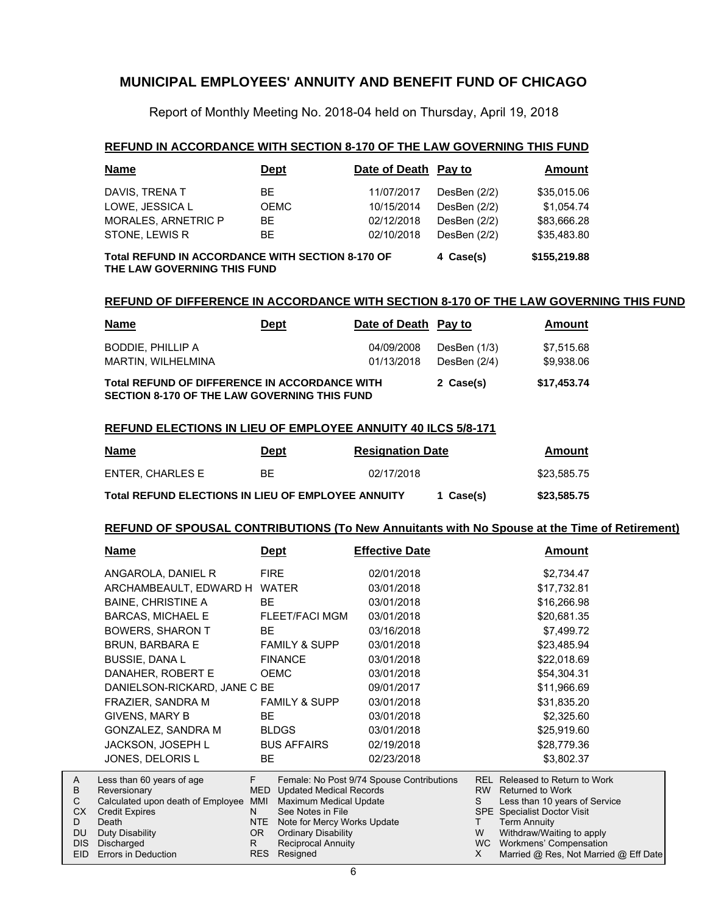Report of Monthly Meeting No. 2018-04 held on Thursday, April 19, 2018

### **REFUND IN ACCORDANCE WITH SECTION 8-170 OF THE LAW GOVERNING THIS FUND**

| <b>Name</b>                                                                            | <b>Dept</b> | Date of Death Pay to |              | Amount      |
|----------------------------------------------------------------------------------------|-------------|----------------------|--------------|-------------|
| DAVIS, TRENA T                                                                         | BE.         | 11/07/2017           | DesBen (2/2) | \$35,015.06 |
| LOWE, JESSICA L                                                                        | <b>OEMC</b> | 10/15/2014           | DesBen (2/2) | \$1,054.74  |
| <b>MORALES, ARNETRIC P</b>                                                             | BE.         | 02/12/2018           | DesBen (2/2) | \$83,666.28 |
| STONE, LEWIS R                                                                         | <b>BE</b>   | 02/10/2018           | DesBen (2/2) | \$35,483.80 |
| <b>Total REFUND IN ACCORDANCE WITH SECTION 8-170 OF</b><br>THE LAW GOVERNING THIS FUND | 4 Case(s)   | \$155,219.88         |              |             |

### **REFUND OF DIFFERENCE IN ACCORDANCE WITH SECTION 8-170 OF THE LAW GOVERNING THIS FUND**

| <u>Name</u>                                                                                          | <u>Dept</u> | Date of Death Pay to     |                              | <b>Amount</b>            |
|------------------------------------------------------------------------------------------------------|-------------|--------------------------|------------------------------|--------------------------|
| BODDIE. PHILLIP A<br>MARTIN, WILHELMINA                                                              |             | 04/09/2008<br>01/13/2018 | DesBen (1/3)<br>DesBen (2/4) | \$7,515.68<br>\$9,938.06 |
| <b>Total REFUND OF DIFFERENCE IN ACCORDANCE WITH</b><br>SECTION 8-170 OF THE LAW GOVERNING THIS FUND |             |                          | 2 Case(s)                    | \$17,453.74              |

#### **REFUND ELECTIONS IN LIEU OF EMPLOYEE ANNUITY 40 ILCS 5/8-171**

| <u>Name</u>                                               | <u>Dept</u> | <b>Resignation Date</b> |           | Amount      |
|-----------------------------------------------------------|-------------|-------------------------|-----------|-------------|
| ENTER. CHARLES E                                          | BF.         | 02/17/2018              |           | \$23,585.75 |
| <b>Total REFUND ELECTIONS IN LIEU OF EMPLOYEE ANNUITY</b> |             |                         | 1 Case(s) | \$23,585.75 |

#### **REFUND OF SPOUSAL CONTRIBUTIONS (To New Annuitants with No Spouse at the Time of Retirement)**

|              | Name                                      | <u>Dept</u>      |                                                           | <b>Effective Date</b>                     |           | <b>Amount</b>                                         |
|--------------|-------------------------------------------|------------------|-----------------------------------------------------------|-------------------------------------------|-----------|-------------------------------------------------------|
|              | ANGAROLA, DANIEL R                        | <b>FIRE</b>      |                                                           | 02/01/2018                                |           | \$2,734.47                                            |
|              | ARCHAMBEAULT, EDWARD H                    |                  | <b>WATER</b>                                              | 03/01/2018                                |           | \$17,732.81                                           |
|              | <b>BAINE, CHRISTINE A</b>                 | <b>BE</b>        |                                                           | 03/01/2018                                |           | \$16,266.98                                           |
|              | <b>BARCAS, MICHAEL E</b>                  |                  | FLEET/FACI MGM                                            | 03/01/2018                                |           | \$20,681.35                                           |
|              | BOWERS, SHARON T                          | BE.              |                                                           | 03/16/2018                                |           | \$7,499.72                                            |
|              | <b>BRUN, BARBARA E</b>                    |                  | <b>FAMILY &amp; SUPP</b>                                  | 03/01/2018                                |           | \$23,485.94                                           |
|              | <b>BUSSIE, DANA L</b>                     |                  | <b>FINANCE</b>                                            | 03/01/2018                                |           | \$22,018.69                                           |
|              | DANAHER, ROBERT E                         |                  | <b>OEMC</b>                                               | 03/01/2018                                |           | \$54,304.31                                           |
|              | DANIELSON-RICKARD, JANE C BE              |                  |                                                           | 09/01/2017                                |           | \$11,966.69                                           |
|              | FRAZIER, SANDRA M                         |                  | <b>FAMILY &amp; SUPP</b>                                  | 03/01/2018                                |           | \$31,835.20                                           |
|              | <b>GIVENS, MARY B</b>                     | BE.              |                                                           | 03/01/2018                                |           | \$2,325.60                                            |
|              | GONZALEZ, SANDRA M                        |                  | <b>BLDGS</b>                                              | 03/01/2018                                |           | \$25,919.60                                           |
|              | JACKSON, JOSEPH L                         |                  | <b>BUS AFFAIRS</b>                                        | 02/19/2018                                |           | \$28,779.36                                           |
|              | JONES, DELORIS L                          | BE.              |                                                           | 02/23/2018                                |           | \$3,802.37                                            |
|              |                                           |                  |                                                           |                                           |           |                                                       |
| A<br>B       | Less than 60 years of age<br>Reversionary | F.<br><b>MED</b> | <b>Updated Medical Records</b>                            | Female: No Post 9/74 Spouse Contributions |           | REL Released to Return to Work<br>RW Returned to Work |
| $\mathsf{C}$ | Calculated upon death of Employee         | MMI              | <b>Maximum Medical Update</b>                             |                                           | S.        | Less than 10 years of Service                         |
| CX.<br>D     | <b>Credit Expires</b><br>Death            | N.<br><b>NTE</b> | See Notes in File                                         |                                           | T.        | SPE Specialist Doctor Visit                           |
| <b>DU</b>    | Duty Disability                           | OR.              | Note for Mercy Works Update<br><b>Ordinary Disability</b> |                                           | W         | <b>Term Annuity</b><br>Withdraw/Waiting to apply      |
| <b>DIS</b>   | Discharged                                | R.               | <b>Reciprocal Annuity</b>                                 |                                           | <b>WC</b> | Workmens' Compensation                                |
| EID.         | Errors in Deduction                       | <b>RES</b>       | Resigned                                                  |                                           |           | Married @ Res, Not Married @ Eff Date                 |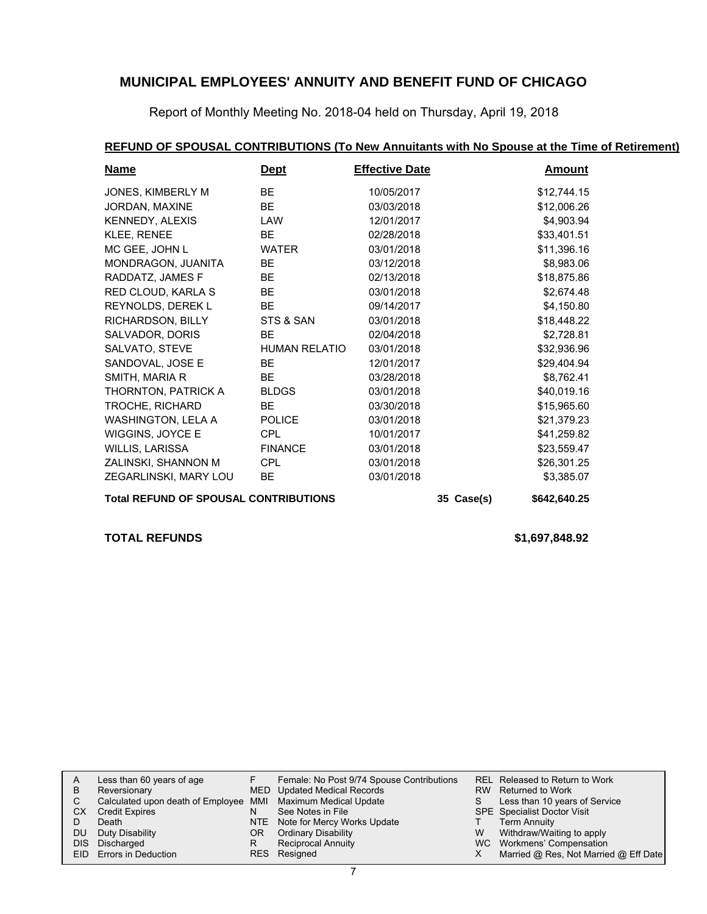Report of Monthly Meeting No. 2018-04 held on Thursday, April 19, 2018

### **REFUND OF SPOUSAL CONTRIBUTIONS (To New Annuitants with No Spouse at the Time of Retirement)**

| <b>Name</b>                                  | <u>Dept</u>          | <b>Effective Date</b> |            | <b>Amount</b> |
|----------------------------------------------|----------------------|-----------------------|------------|---------------|
| JONES, KIMBERLY M                            | <b>BE</b>            | 10/05/2017            |            | \$12,744.15   |
| JORDAN, MAXINE                               | BE                   | 03/03/2018            |            | \$12,006.26   |
| KENNEDY, ALEXIS                              | LAW                  | 12/01/2017            |            | \$4,903.94    |
| KLEE, RENEE                                  | <b>BE</b>            | 02/28/2018            |            | \$33,401.51   |
| MC GEE, JOHN L                               | <b>WATER</b>         | 03/01/2018            |            | \$11,396.16   |
| MONDRAGON, JUANITA                           | <b>BE</b>            | 03/12/2018            |            | \$8,983.06    |
| RADDATZ, JAMES F                             | BE.                  | 02/13/2018            |            | \$18,875.86   |
| RED CLOUD, KARLA S                           | <b>BE</b>            | 03/01/2018            |            | \$2,674.48    |
| REYNOLDS, DEREK L                            | BE.                  | 09/14/2017            |            | \$4,150.80    |
| RICHARDSON, BILLY                            | STS & SAN            | 03/01/2018            |            | \$18,448.22   |
| SALVADOR, DORIS                              | BE.                  | 02/04/2018            |            | \$2,728.81    |
| SALVATO, STEVE                               | <b>HUMAN RELATIO</b> | 03/01/2018            |            | \$32,936.96   |
| SANDOVAL, JOSE E                             | <b>BE</b>            | 12/01/2017            |            | \$29,404.94   |
| SMITH, MARIA R                               | BE                   | 03/28/2018            |            | \$8,762.41    |
| THORNTON, PATRICK A                          | <b>BLDGS</b>         | 03/01/2018            |            | \$40,019.16   |
| TROCHE, RICHARD                              | BE                   | 03/30/2018            |            | \$15,965.60   |
| WASHINGTON, LELA A                           | <b>POLICE</b>        | 03/01/2018            |            | \$21,379.23   |
| WIGGINS, JOYCE E                             | CPL                  | 10/01/2017            |            | \$41,259.82   |
| WILLIS, LARISSA                              | <b>FINANCE</b>       | 03/01/2018            |            | \$23,559.47   |
| ZALINSKI, SHANNON M                          | <b>CPL</b>           | 03/01/2018            |            | \$26,301.25   |
| ZEGARLINSKI, MARY LOU                        | <b>BE</b>            | 03/01/2018            |            | \$3,385.07    |
| <b>Total REFUND OF SPOUSAL CONTRIBUTIONS</b> |                      |                       | 35 Case(s) | \$642,640.25  |

**TOTAL REFUNDS \$1,697,848.92**

|     | Less than 60 years of age                                    |     | Female: No Post 9/74 Spouse Contributions |    | REL Released to Return to Work        |
|-----|--------------------------------------------------------------|-----|-------------------------------------------|----|---------------------------------------|
| B   | Reversionary                                                 |     | MED Updated Medical Records               |    | RW Returned to Work                   |
|     | Calculated upon death of Employee MMI Maximum Medical Update |     |                                           | S. | Less than 10 years of Service         |
| CX. | <b>Credit Expires</b>                                        |     | See Notes in File                         |    | <b>SPE</b> Specialist Doctor Visit    |
|     | Death                                                        |     | NTE Note for Mercy Works Update           |    | <b>Term Annuity</b>                   |
| DU. | Duty Disability                                              | OR. | <b>Ordinary Disability</b>                | W  | Withdraw/Waiting to apply             |
|     | DIS Discharged                                               |     | <b>Reciprocal Annuity</b>                 |    | WC Workmens' Compensation             |
|     | EID Errors in Deduction                                      |     | RES Resigned                              |    | Married @ Res, Not Married @ Eff Date |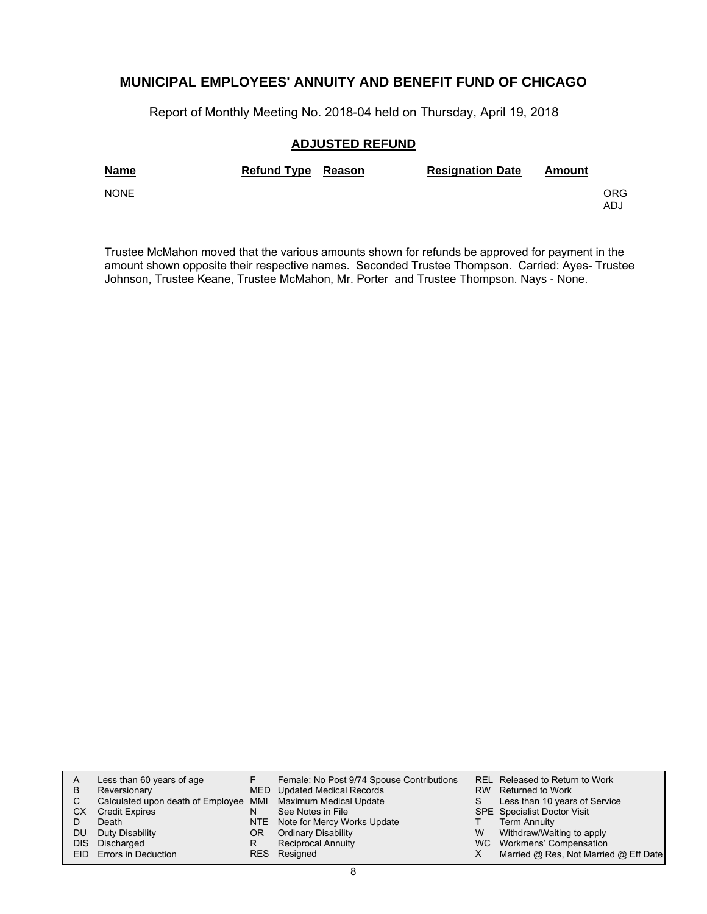Report of Monthly Meeting No. 2018-04 held on Thursday, April 19, 2018

### **ADJUSTED REFUND**

| <b>Name</b> | <b>Refund Type Reason</b> | <b>Resignation Date</b> | Amount |             |
|-------------|---------------------------|-------------------------|--------|-------------|
| <b>NONE</b> |                           |                         |        | ORG.<br>ADJ |

Trustee McMahon moved that the various amounts shown for refunds be approved for payment in the amount shown opposite their respective names. Seconded Trustee Thompson. Carried: Ayes- Trustee Johnson, Trustee Keane, Trustee McMahon, Mr. Porter and Trustee Thompson. Nays - None.

| A   | Less than 60 years of age                                    |     | Female: No Post 9/74 Spouse Contributions |   | REL Released to Return to Work        |
|-----|--------------------------------------------------------------|-----|-------------------------------------------|---|---------------------------------------|
| В   | Reversionary                                                 |     | MED Updated Medical Records               |   | RW Returned to Work                   |
|     | Calculated upon death of Employee MMI Maximum Medical Update |     |                                           |   | Less than 10 years of Service         |
| CХ  | <b>Credit Expires</b>                                        | N   | See Notes in File                         |   | <b>SPE</b> Specialist Doctor Visit    |
|     | Death                                                        |     | NTE Note for Mercy Works Update           |   | <b>Term Annuity</b>                   |
| DU. | Duty Disability                                              | OR. | <b>Ordinary Disability</b>                | W | Withdraw/Waiting to apply             |
|     | DIS Discharged                                               | R   | <b>Reciprocal Annuity</b>                 |   | WC Workmens' Compensation             |
|     | EID Errors in Deduction                                      |     | RES Resigned                              |   | Married @ Res, Not Married @ Eff Date |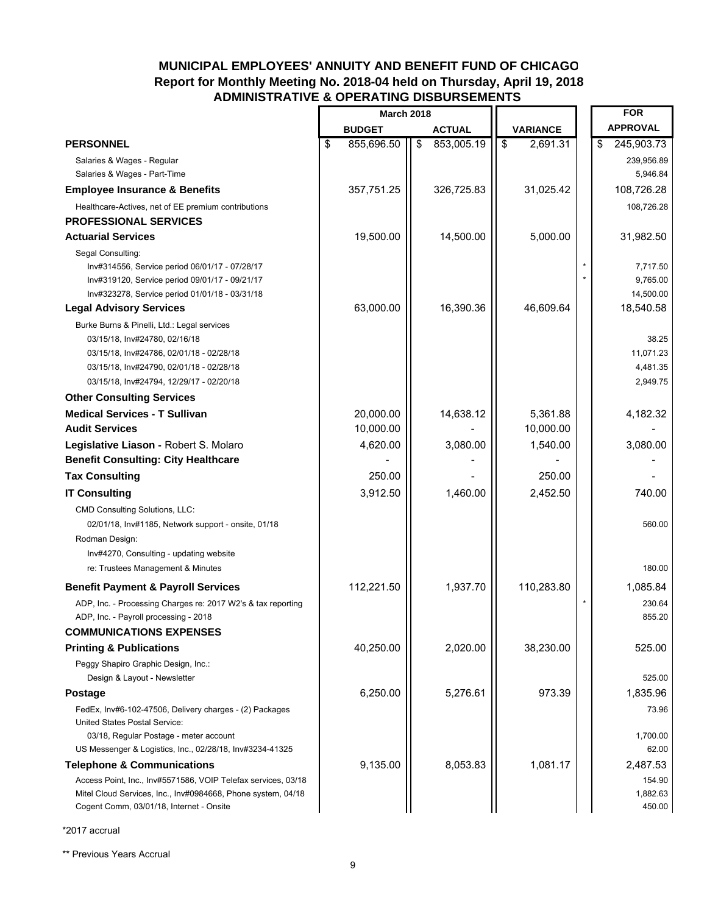### **MUNICIPAL EMPLOYEES' ANNUITY AND BENEFIT FUND OF CHICAGO Report for Monthly Meeting No. 2018-04 held on Thursday, April 19, 2018 ADMINISTRATIVE & OPERATING DISBURSEMENTS**

|                                                                                                                                                                                                                  | <b>March 2018</b>      |                  |                         |                       | <b>FOR</b>                                 |
|------------------------------------------------------------------------------------------------------------------------------------------------------------------------------------------------------------------|------------------------|------------------|-------------------------|-----------------------|--------------------------------------------|
|                                                                                                                                                                                                                  | <b>BUDGET</b>          | <b>ACTUAL</b>    |                         | <b>VARIANCE</b>       | <b>APPROVAL</b>                            |
| <b>PERSONNEL</b>                                                                                                                                                                                                 | \$<br>855,696.50       | \$<br>853,005.19 | $\sqrt[6]{\frac{1}{2}}$ | 2,691.31              | \$<br>245,903.73                           |
| Salaries & Wages - Regular                                                                                                                                                                                       |                        |                  |                         |                       | 239,956.89                                 |
| Salaries & Wages - Part-Time                                                                                                                                                                                     |                        |                  |                         |                       | 5,946.84                                   |
| <b>Employee Insurance &amp; Benefits</b>                                                                                                                                                                         | 357,751.25             | 326,725.83       |                         | 31,025.42             | 108,726.28                                 |
| Healthcare-Actives, net of EE premium contributions                                                                                                                                                              |                        |                  |                         |                       | 108,726.28                                 |
| <b>PROFESSIONAL SERVICES</b>                                                                                                                                                                                     |                        |                  |                         |                       |                                            |
| <b>Actuarial Services</b>                                                                                                                                                                                        | 19,500.00              | 14,500.00        |                         | 5,000.00              | 31,982.50                                  |
| Segal Consulting:<br>Inv#314556, Service period 06/01/17 - 07/28/17<br>Inv#319120, Service period 09/01/17 - 09/21/17                                                                                            |                        |                  |                         |                       | 7,717.50<br>9,765.00                       |
| Inv#323278, Service period 01/01/18 - 03/31/18                                                                                                                                                                   |                        |                  |                         |                       | 14,500.00                                  |
| <b>Legal Advisory Services</b>                                                                                                                                                                                   | 63,000.00              | 16,390.36        |                         | 46,609.64             | 18,540.58                                  |
| Burke Burns & Pinelli, Ltd.: Legal services<br>03/15/18, Inv#24780, 02/16/18<br>03/15/18, Inv#24786, 02/01/18 - 02/28/18<br>03/15/18, Inv#24790, 02/01/18 - 02/28/18<br>03/15/18, Inv#24794, 12/29/17 - 02/20/18 |                        |                  |                         |                       | 38.25<br>11,071.23<br>4,481.35<br>2,949.75 |
| <b>Other Consulting Services</b>                                                                                                                                                                                 |                        |                  |                         |                       |                                            |
| <b>Medical Services - T Sullivan</b><br><b>Audit Services</b>                                                                                                                                                    | 20,000.00<br>10,000.00 | 14,638.12        |                         | 5,361.88<br>10,000.00 | 4,182.32                                   |
| Legislative Liason - Robert S. Molaro                                                                                                                                                                            | 4,620.00               | 3,080.00         |                         | 1,540.00              | 3,080.00                                   |
| <b>Benefit Consulting: City Healthcare</b>                                                                                                                                                                       |                        |                  |                         |                       |                                            |
| <b>Tax Consulting</b>                                                                                                                                                                                            | 250.00                 |                  |                         | 250.00                |                                            |
| <b>IT Consulting</b>                                                                                                                                                                                             | 3,912.50               | 1,460.00         |                         | 2,452.50              | 740.00                                     |
| <b>CMD Consulting Solutions, LLC:</b><br>02/01/18, Inv#1185, Network support - onsite, 01/18<br>Rodman Design:<br>Inv#4270, Consulting - updating website<br>re: Trustees Management & Minutes                   |                        |                  |                         |                       | 560.00<br>180.00                           |
| <b>Benefit Payment &amp; Payroll Services</b>                                                                                                                                                                    | 112,221.50             | 1,937.70         |                         | 110,283.80            | 1,085.84                                   |
| ADP, Inc. - Processing Charges re: 2017 W2's & tax reporting<br>ADP, Inc. - Payroll processing - 2018<br><b>COMMUNICATIONS EXPENSES</b>                                                                          |                        |                  |                         |                       | 230.64<br>855.20                           |
| <b>Printing &amp; Publications</b>                                                                                                                                                                               | 40,250.00              | 2,020.00         |                         | 38,230.00             | 525.00                                     |
| Peggy Shapiro Graphic Design, Inc.:<br>Design & Layout - Newsletter                                                                                                                                              |                        |                  |                         |                       | 525.00                                     |
| <b>Postage</b>                                                                                                                                                                                                   | 6,250.00               | 5,276.61         |                         | 973.39                | 1,835.96                                   |
| FedEx, Inv#6-102-47506, Delivery charges - (2) Packages<br><b>United States Postal Service:</b><br>03/18, Regular Postage - meter account<br>US Messenger & Logistics, Inc., 02/28/18, Inv#3234-41325            |                        |                  |                         |                       | 73.96<br>1,700.00<br>62.00                 |
| <b>Telephone &amp; Communications</b>                                                                                                                                                                            | 9,135.00               | 8,053.83         |                         | 1,081.17              | 2,487.53                                   |
| Access Point, Inc., Inv#5571586, VOIP Telefax services, 03/18<br>Mitel Cloud Services, Inc., Inv#0984668, Phone system, 04/18<br>Cogent Comm, 03/01/18, Internet - Onsite                                        |                        |                  |                         |                       | 154.90<br>1,882.63<br>450.00               |

\*2017 accrual

\*\* Previous Years Accrual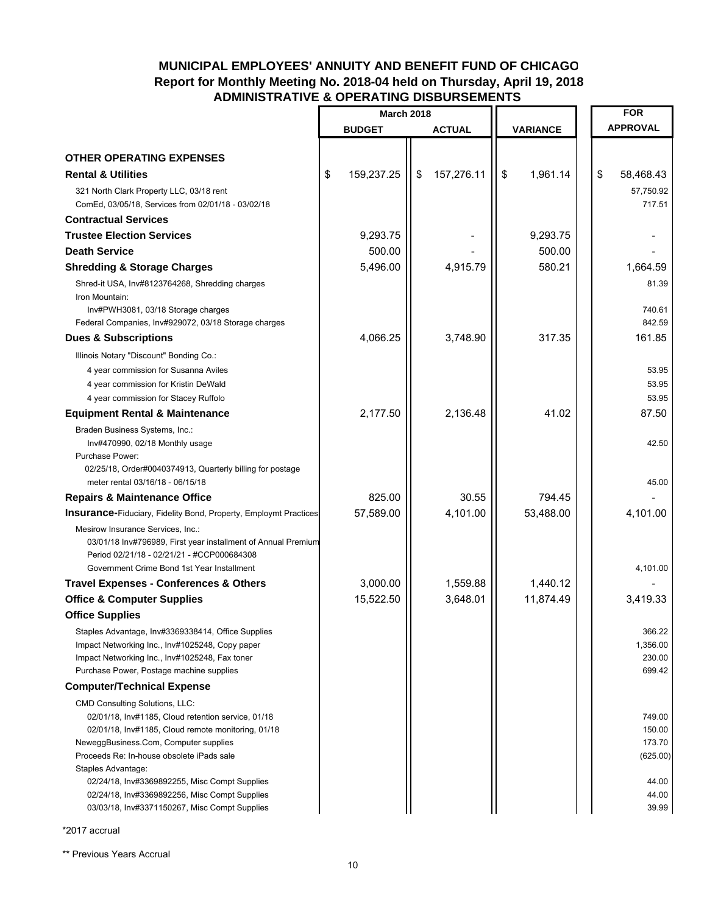### **MUNICIPAL EMPLOYEES' ANNUITY AND BENEFIT FUND OF CHICAGO Report for Monthly Meeting No. 2018-04 held on Thursday, April 19, 2018 ADMINISTRATIVE & OPERATING DISBURSEMENTS**

|                                                                                                                                                                                                                                                                                                                                                                                                                  | <b>March 2018</b> |                  |                 |    | <b>FOR</b>                                                        |
|------------------------------------------------------------------------------------------------------------------------------------------------------------------------------------------------------------------------------------------------------------------------------------------------------------------------------------------------------------------------------------------------------------------|-------------------|------------------|-----------------|----|-------------------------------------------------------------------|
|                                                                                                                                                                                                                                                                                                                                                                                                                  | <b>BUDGET</b>     | <b>ACTUAL</b>    | <b>VARIANCE</b> |    | <b>APPROVAL</b>                                                   |
|                                                                                                                                                                                                                                                                                                                                                                                                                  |                   |                  |                 |    |                                                                   |
| <b>OTHER OPERATING EXPENSES</b>                                                                                                                                                                                                                                                                                                                                                                                  |                   |                  |                 |    |                                                                   |
| <b>Rental &amp; Utilities</b>                                                                                                                                                                                                                                                                                                                                                                                    | \$<br>159,237.25  | \$<br>157,276.11 | \$<br>1,961.14  | \$ | 58,468.43                                                         |
| 321 North Clark Property LLC, 03/18 rent<br>ComEd, 03/05/18, Services from 02/01/18 - 03/02/18                                                                                                                                                                                                                                                                                                                   |                   |                  |                 |    | 57,750.92<br>717.51                                               |
| <b>Contractual Services</b>                                                                                                                                                                                                                                                                                                                                                                                      |                   |                  |                 |    |                                                                   |
| <b>Trustee Election Services</b>                                                                                                                                                                                                                                                                                                                                                                                 | 9,293.75          |                  | 9,293.75        |    |                                                                   |
| <b>Death Service</b>                                                                                                                                                                                                                                                                                                                                                                                             | 500.00            |                  | 500.00          |    |                                                                   |
| <b>Shredding &amp; Storage Charges</b>                                                                                                                                                                                                                                                                                                                                                                           | 5,496.00          | 4,915.79         | 580.21          |    | 1,664.59                                                          |
| Shred-it USA, Inv#8123764268, Shredding charges<br>Iron Mountain:<br>Inv#PWH3081, 03/18 Storage charges                                                                                                                                                                                                                                                                                                          |                   |                  |                 |    | 81.39<br>740.61                                                   |
| Federal Companies, Inv#929072, 03/18 Storage charges                                                                                                                                                                                                                                                                                                                                                             |                   |                  |                 |    | 842.59                                                            |
| <b>Dues &amp; Subscriptions</b>                                                                                                                                                                                                                                                                                                                                                                                  | 4,066.25          | 3,748.90         | 317.35          |    | 161.85                                                            |
| Illinois Notary "Discount" Bonding Co.:<br>4 year commission for Susanna Aviles<br>4 year commission for Kristin DeWald<br>4 year commission for Stacey Ruffolo                                                                                                                                                                                                                                                  |                   |                  |                 |    | 53.95<br>53.95<br>53.95                                           |
| <b>Equipment Rental &amp; Maintenance</b>                                                                                                                                                                                                                                                                                                                                                                        | 2,177.50          | 2,136.48         | 41.02           |    | 87.50                                                             |
| Braden Business Systems, Inc.:<br>Inv#470990, 02/18 Monthly usage<br>Purchase Power:<br>02/25/18, Order#0040374913, Quarterly billing for postage                                                                                                                                                                                                                                                                |                   |                  |                 |    | 42.50                                                             |
| meter rental 03/16/18 - 06/15/18                                                                                                                                                                                                                                                                                                                                                                                 |                   |                  |                 |    | 45.00                                                             |
| <b>Repairs &amp; Maintenance Office</b>                                                                                                                                                                                                                                                                                                                                                                          | 825.00            | 30.55            | 794.45          |    |                                                                   |
| <b>Insurance-Fiduciary, Fidelity Bond, Property, Employmt Practices</b>                                                                                                                                                                                                                                                                                                                                          | 57,589.00         | 4,101.00         | 53,488.00       |    | 4,101.00                                                          |
| Mesirow Insurance Services, Inc.:<br>03/01/18 Inv#796989, First year installment of Annual Premium<br>Period 02/21/18 - 02/21/21 - #CCP000684308<br>Government Crime Bond 1st Year Installment                                                                                                                                                                                                                   |                   |                  |                 |    | 4,101.00                                                          |
| <b>Travel Expenses - Conferences &amp; Others</b>                                                                                                                                                                                                                                                                                                                                                                | 3,000.00          | 1,559.88         | 1,440.12        |    |                                                                   |
| <b>Office &amp; Computer Supplies</b>                                                                                                                                                                                                                                                                                                                                                                            | 15,522.50         | 3,648.01         | 11,874.49       |    | 3,419.33                                                          |
| <b>Office Supplies</b>                                                                                                                                                                                                                                                                                                                                                                                           |                   |                  |                 |    |                                                                   |
| Staples Advantage, Inv#3369338414, Office Supplies<br>Impact Networking Inc., Inv#1025248, Copy paper<br>Impact Networking Inc., Inv#1025248, Fax toner<br>Purchase Power, Postage machine supplies                                                                                                                                                                                                              |                   |                  |                 |    | 366.22<br>1,356.00<br>230.00<br>699.42                            |
| <b>Computer/Technical Expense</b>                                                                                                                                                                                                                                                                                                                                                                                |                   |                  |                 |    |                                                                   |
| <b>CMD Consulting Solutions, LLC:</b><br>02/01/18, Inv#1185, Cloud retention service, 01/18<br>02/01/18, Inv#1185, Cloud remote monitoring, 01/18<br>NeweggBusiness.Com, Computer supplies<br>Proceeds Re: In-house obsolete iPads sale<br>Staples Advantage:<br>02/24/18, Inv#3369892255, Misc Compt Supplies<br>02/24/18, Inv#3369892256, Misc Compt Supplies<br>03/03/18, Inv#3371150267, Misc Compt Supplies |                   |                  |                 |    | 749.00<br>150.00<br>173.70<br>(625.00)<br>44.00<br>44.00<br>39.99 |

\*2017 accrual

\*\* Previous Years Accrual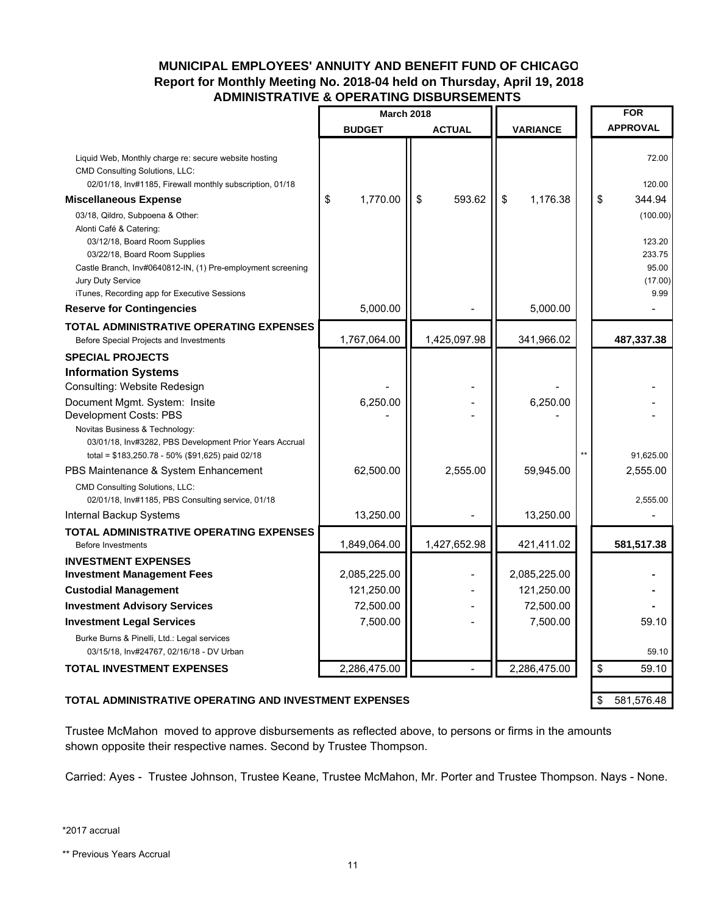### **MUNICIPAL EMPLOYEES' ANNUITY AND BENEFIT FUND OF CHICAGO Report for Monthly Meeting No. 2018-04 held on Thursday, April 19, 2018 ADMINISTRATIVE & OPERATING DISBURSEMENTS**

|                                                                                                                                                                   | <b>March 2018</b> |               |                 | <b>FOR</b>                         |  |
|-------------------------------------------------------------------------------------------------------------------------------------------------------------------|-------------------|---------------|-----------------|------------------------------------|--|
|                                                                                                                                                                   | <b>BUDGET</b>     | <b>ACTUAL</b> | <b>VARIANCE</b> | <b>APPROVAL</b>                    |  |
| Liquid Web, Monthly charge re: secure website hosting<br>CMD Consulting Solutions, LLC:<br>02/01/18, Inv#1185, Firewall monthly subscription, 01/18               |                   |               |                 | 72.00<br>120.00                    |  |
| <b>Miscellaneous Expense</b>                                                                                                                                      | 1,770.00<br>\$    | \$<br>593.62  | \$<br>1,176.38  | \$<br>344.94                       |  |
| 03/18, Qildro, Subpoena & Other:<br>Alonti Café & Catering:<br>03/12/18, Board Room Supplies                                                                      |                   |               |                 | (100.00)<br>123.20                 |  |
| 03/22/18, Board Room Supplies<br>Castle Branch, Inv#0640812-IN, (1) Pre-employment screening<br>Jury Duty Service<br>iTunes, Recording app for Executive Sessions |                   |               |                 | 233.75<br>95.00<br>(17.00)<br>9.99 |  |
| <b>Reserve for Contingencies</b>                                                                                                                                  | 5,000.00          |               | 5,000.00        |                                    |  |
| <b>TOTAL ADMINISTRATIVE OPERATING EXPENSES</b>                                                                                                                    |                   |               |                 |                                    |  |
| Before Special Projects and Investments                                                                                                                           | 1,767,064.00      | 1,425,097.98  | 341,966.02      | 487,337.38                         |  |
| <b>SPECIAL PROJECTS</b>                                                                                                                                           |                   |               |                 |                                    |  |
| <b>Information Systems</b><br>Consulting: Website Redesign                                                                                                        |                   |               |                 |                                    |  |
| Document Mgmt. System: Insite<br>Development Costs: PBS<br>Novitas Business & Technology:                                                                         | 6,250.00          |               | 6,250.00        |                                    |  |
| 03/01/18, Inv#3282, PBS Development Prior Years Accrual<br>total = \$183,250.78 - 50% (\$91,625) paid 02/18                                                       |                   |               |                 | 91,625.00                          |  |
| PBS Maintenance & System Enhancement                                                                                                                              | 62,500.00         | 2,555.00      | 59,945.00       | 2,555.00                           |  |
| CMD Consulting Solutions, LLC:<br>02/01/18, Inv#1185, PBS Consulting service, 01/18                                                                               |                   |               |                 | 2,555.00                           |  |
| Internal Backup Systems                                                                                                                                           | 13,250.00         |               | 13,250.00       |                                    |  |
| TOTAL ADMINISTRATIVE OPERATING EXPENSES<br><b>Before Investments</b>                                                                                              | 1,849,064.00      | 1,427,652.98  | 421,411.02      | 581,517.38                         |  |
| <b>INVESTMENT EXPENSES</b><br><b>Investment Management Fees</b>                                                                                                   | 2,085,225.00      |               | 2,085,225.00    |                                    |  |
| <b>Custodial Management</b>                                                                                                                                       | 121,250.00        |               | 121,250.00      |                                    |  |
| <b>Investment Advisory Services</b>                                                                                                                               | 72,500.00         |               | 72,500.00       |                                    |  |
| <b>Investment Legal Services</b>                                                                                                                                  | 7,500.00          |               | 7,500.00        | 59.10                              |  |
| Burke Burns & Pinelli, Ltd.: Legal services<br>03/15/18, Inv#24767, 02/16/18 - DV Urban                                                                           |                   |               |                 | 59.10                              |  |
| <b>TOTAL INVESTMENT EXPENSES</b>                                                                                                                                  | 2,286,475.00      |               | 2,286,475.00    | \$<br>59.10                        |  |
| TOTAL ADMINISTRATIVE OPERATING AND INVESTMENT EXPENSES                                                                                                            |                   |               |                 | \$<br>581,576.48                   |  |

# Trustee McMahon moved to approve disbursements as reflected above, to persons or firms in the amounts shown opposite their respective names. Second by Trustee Thompson.

Carried: Ayes - Trustee Johnson, Trustee Keane, Trustee McMahon, Mr. Porter and Trustee Thompson. Nays - None.

\*2017 accrual

\*\* Previous Years Accrual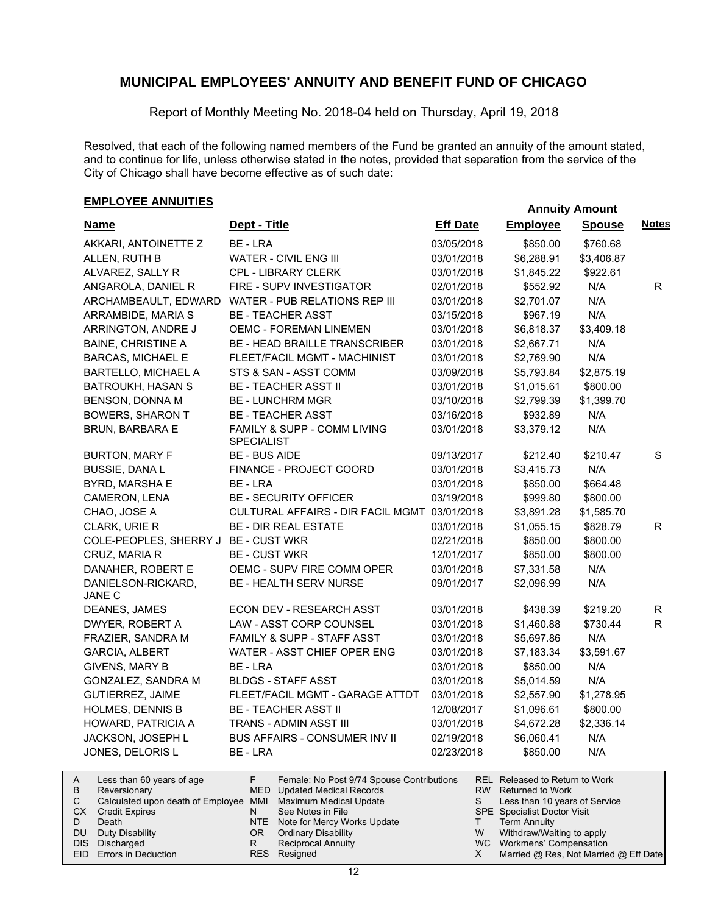Report of Monthly Meeting No. 2018-04 held on Thursday, April 19, 2018

Resolved, that each of the following named members of the Fund be granted an annuity of the amount stated, and to continue for life, unless otherwise stated in the notes, provided that separation from the service of the City of Chicago shall have become effective as of such date:

# **EMPLOYEE ANNUITIES**

|                                      |                                                  |                 | , ,,,,,,,,,,,,, |               |              |
|--------------------------------------|--------------------------------------------------|-----------------|-----------------|---------------|--------------|
| <b>Name</b>                          | Dept - Title                                     | <b>Eff Date</b> | <b>Employee</b> | <b>Spouse</b> | <b>Notes</b> |
| AKKARI, ANTOINETTE Z                 | BE - LRA                                         | 03/05/2018      | \$850.00        | \$760.68      |              |
| ALLEN, RUTH B                        | WATER - CIVIL ENG III                            | 03/01/2018      | \$6,288.91      | \$3,406.87    |              |
| ALVAREZ, SALLY R                     | CPL - LIBRARY CLERK                              | 03/01/2018      | \$1,845.22      | \$922.61      |              |
| ANGAROLA, DANIEL R                   | FIRE - SUPV INVESTIGATOR                         | 02/01/2018      | \$552.92        | N/A           | R.           |
| ARCHAMBEAULT, EDWARD                 | WATER - PUB RELATIONS REP III                    | 03/01/2018      | \$2,701.07      | N/A           |              |
| ARRAMBIDE, MARIA S                   | <b>BE - TEACHER ASST</b>                         | 03/15/2018      | \$967.19        | N/A           |              |
| ARRINGTON, ANDRE J                   | <b>OEMC - FOREMAN LINEMEN</b>                    | 03/01/2018      | \$6,818.37      | \$3,409.18    |              |
| <b>BAINE, CHRISTINE A</b>            | <b>BE - HEAD BRAILLE TRANSCRIBER</b>             | 03/01/2018      | \$2,667.71      | N/A           |              |
| <b>BARCAS, MICHAEL E</b>             | FLEET/FACIL MGMT - MACHINIST                     | 03/01/2018      | \$2,769.90      | N/A           |              |
| <b>BARTELLO, MICHAEL A</b>           | STS & SAN - ASST COMM                            | 03/09/2018      | \$5,793.84      | \$2,875.19    |              |
| <b>BATROUKH, HASAN S</b>             | <b>BE - TEACHER ASST II</b>                      | 03/01/2018      | \$1,015.61      | \$800.00      |              |
| BENSON, DONNA M                      | <b>BE - LUNCHRM MGR</b>                          | 03/10/2018      | \$2,799.39      | \$1,399.70    |              |
| <b>BOWERS, SHARON T</b>              | <b>BE - TEACHER ASST</b>                         | 03/16/2018      | \$932.89        | N/A           |              |
| <b>BRUN, BARBARA E</b>               | FAMILY & SUPP - COMM LIVING<br><b>SPECIALIST</b> | 03/01/2018      | \$3,379.12      | N/A           |              |
| <b>BURTON, MARY F</b>                | <b>BE - BUS AIDE</b>                             | 09/13/2017      | \$212.40        | \$210.47      | $\mathbf S$  |
| <b>BUSSIE, DANA L</b>                | FINANCE - PROJECT COORD                          | 03/01/2018      | \$3,415.73      | N/A           |              |
| BYRD, MARSHA E                       | BE - LRA                                         | 03/01/2018      | \$850.00        | \$664.48      |              |
| CAMERON, LENA                        | <b>BE - SECURITY OFFICER</b>                     | 03/19/2018      | \$999.80        | \$800.00      |              |
| CHAO, JOSE A                         | CULTURAL AFFAIRS - DIR FACIL MGMT 03/01/2018     |                 | \$3,891.28      | \$1,585.70    |              |
| CLARK, URIE R                        | <b>BE - DIR REAL ESTATE</b>                      | 03/01/2018      | \$1,055.15      | \$828.79      | $\mathsf{R}$ |
| COLE-PEOPLES, SHERRY J BE - CUST WKR |                                                  | 02/21/2018      | \$850.00        | \$800.00      |              |
| CRUZ, MARIA R                        | <b>BE - CUST WKR</b>                             | 12/01/2017      | \$850.00        | \$800.00      |              |
| DANAHER, ROBERT E                    | OEMC - SUPV FIRE COMM OPER                       | 03/01/2018      | \$7,331.58      | N/A           |              |
| DANIELSON-RICKARD,<br><b>JANE C</b>  | BE - HEALTH SERV NURSE                           | 09/01/2017      | \$2,096.99      | N/A           |              |
| DEANES, JAMES                        | ECON DEV - RESEARCH ASST                         | 03/01/2018      | \$438.39        | \$219.20      | R.           |
| DWYER, ROBERT A                      | LAW - ASST CORP COUNSEL                          | 03/01/2018      | \$1,460.88      | \$730.44      | R.           |
| FRAZIER, SANDRA M                    | FAMILY & SUPP - STAFF ASST                       | 03/01/2018      | \$5,697.86      | N/A           |              |
| <b>GARCIA, ALBERT</b>                | WATER - ASST CHIEF OPER ENG                      | 03/01/2018      | \$7,183.34      | \$3,591.67    |              |
| GIVENS, MARY B                       | BE - LRA                                         | 03/01/2018      | \$850.00        | N/A           |              |
| GONZALEZ, SANDRA M                   | <b>BLDGS - STAFF ASST</b>                        | 03/01/2018      | \$5,014.59      | N/A           |              |
| <b>GUTIERREZ, JAIME</b>              | FLEET/FACIL MGMT - GARAGE ATTDT                  | 03/01/2018      | \$2,557.90      | \$1,278.95    |              |
| <b>HOLMES, DENNIS B</b>              | <b>BE - TEACHER ASST II</b>                      | 12/08/2017      | \$1,096.61      | \$800.00      |              |
| HOWARD, PATRICIA A                   | TRANS - ADMIN ASST III                           | 03/01/2018      | \$4,672.28      | \$2,336.14    |              |
| JACKSON, JOSEPH L                    | <b>BUS AFFAIRS - CONSUMER INV II</b>             | 02/19/2018      | \$6,060.41      | N/A           |              |
| JONES, DELORIS L                     | BE - LRA                                         | 02/23/2018      | \$850.00        | N/A           |              |
|                                      |                                                  |                 |                 |               |              |

|     | Less than 60 years of age                                    |     | Female: No Post 9/74 Spouse Contributions |   | REL Released to Return to Work        |
|-----|--------------------------------------------------------------|-----|-------------------------------------------|---|---------------------------------------|
|     | Reversionary                                                 |     | MED Updated Medical Records               |   | RW Returned to Work                   |
|     | Calculated upon death of Employee MMI Maximum Medical Update |     |                                           |   | Less than 10 years of Service         |
| CХ  | <b>Credit Expires</b>                                        |     | See Notes in File                         |   | <b>SPE</b> Specialist Doctor Visit    |
|     | Death                                                        |     | NTE Note for Mercy Works Update           |   | <b>Term Annuity</b>                   |
| DU. | Duty Disability                                              | OR. | Ordinary Disability                       | W | Withdraw/Waiting to apply             |
|     | DIS Discharged                                               |     | <b>Reciprocal Annuity</b>                 |   | WC Workmens' Compensation             |
|     | EID Errors in Deduction                                      |     | RES Resigned                              |   | Married @ Res, Not Married @ Eff Date |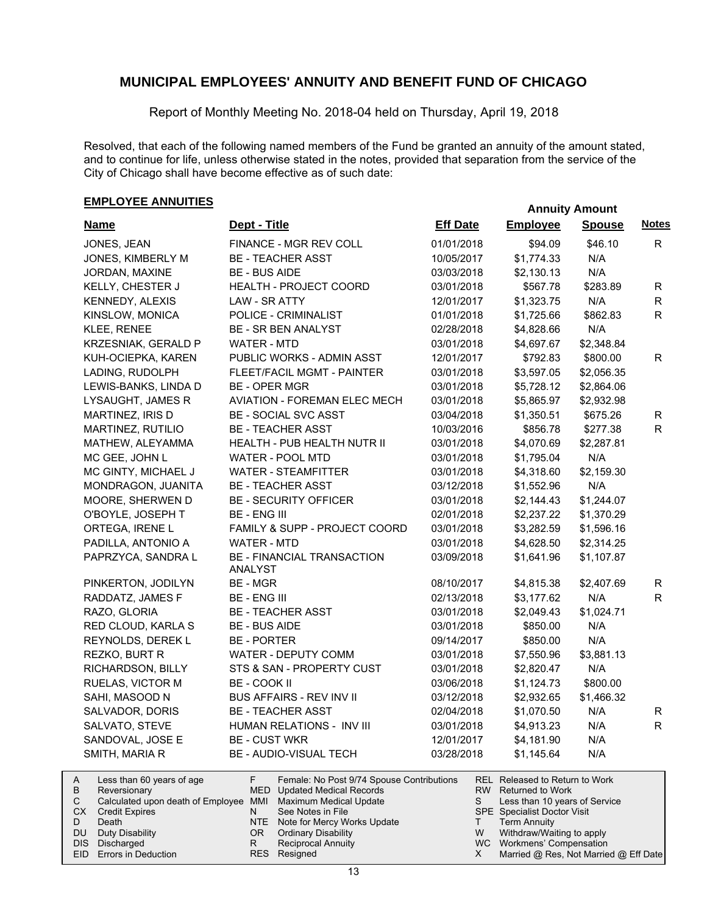Report of Monthly Meeting No. 2018-04 held on Thursday, April 19, 2018

Resolved, that each of the following named members of the Fund be granted an annuity of the amount stated, and to continue for life, unless otherwise stated in the notes, provided that separation from the service of the City of Chicago shall have become effective as of such date:

# **EMPLOYEE ANNUITIES**<br> **EMPLOYEE ANNUITIES**

| <b>Name</b>                                                                                       | Dept - Title                                                                                                    | <b>Eff Date</b> | <b>Employee</b>                                                                            | <b>Spouse</b> | <b>Notes</b> |
|---------------------------------------------------------------------------------------------------|-----------------------------------------------------------------------------------------------------------------|-----------------|--------------------------------------------------------------------------------------------|---------------|--------------|
| JONES, JEAN                                                                                       | FINANCE - MGR REV COLL                                                                                          | 01/01/2018      | \$94.09                                                                                    | \$46.10       | R.           |
| JONES, KIMBERLY M                                                                                 | <b>BE - TEACHER ASST</b>                                                                                        | 10/05/2017      | \$1,774.33                                                                                 | N/A           |              |
| JORDAN, MAXINE                                                                                    | <b>BE - BUS AIDE</b>                                                                                            | 03/03/2018      | \$2,130.13                                                                                 | N/A           |              |
| KELLY, CHESTER J                                                                                  | HEALTH - PROJECT COORD                                                                                          | 03/01/2018      | \$567.78                                                                                   | \$283.89      | R            |
| KENNEDY, ALEXIS                                                                                   | <b>LAW - SR ATTY</b>                                                                                            | 12/01/2017      | \$1,323.75                                                                                 | N/A           | $\mathsf{R}$ |
| KINSLOW, MONICA                                                                                   | POLICE - CRIMINALIST                                                                                            | 01/01/2018      | \$1,725.66                                                                                 | \$862.83      | R.           |
| KLEE, RENEE                                                                                       | <b>BE - SR BEN ANALYST</b>                                                                                      | 02/28/2018      | \$4,828.66                                                                                 | N/A           |              |
| KRZESNIAK, GERALD P                                                                               | <b>WATER - MTD</b>                                                                                              | 03/01/2018      | \$4,697.67                                                                                 | \$2,348.84    |              |
| KUH-OCIEPKA, KAREN                                                                                | PUBLIC WORKS - ADMIN ASST                                                                                       | 12/01/2017      | \$792.83                                                                                   | \$800.00      | R            |
| LADING, RUDOLPH                                                                                   | <b>FLEET/FACIL MGMT - PAINTER</b>                                                                               | 03/01/2018      | \$3,597.05                                                                                 | \$2,056.35    |              |
| LEWIS-BANKS, LINDA D                                                                              | <b>BE - OPER MGR</b>                                                                                            | 03/01/2018      | \$5,728.12                                                                                 | \$2,864.06    |              |
| LYSAUGHT, JAMES R                                                                                 | <b>AVIATION - FOREMAN ELEC MECH</b>                                                                             | 03/01/2018      | \$5,865.97                                                                                 | \$2,932.98    |              |
| MARTINEZ, IRIS D                                                                                  | <b>BE - SOCIAL SVC ASST</b>                                                                                     | 03/04/2018      | \$1,350.51                                                                                 | \$675.26      | R            |
| MARTINEZ, RUTILIO                                                                                 | <b>BE - TEACHER ASST</b>                                                                                        | 10/03/2016      | \$856.78                                                                                   | \$277.38      | $\mathsf{R}$ |
| MATHEW, ALEYAMMA                                                                                  | HEALTH - PUB HEALTH NUTR II                                                                                     | 03/01/2018      | \$4,070.69                                                                                 | \$2,287.81    |              |
| MC GEE, JOHN L                                                                                    | WATER - POOL MTD                                                                                                | 03/01/2018      | \$1,795.04                                                                                 | N/A           |              |
| MC GINTY, MICHAEL J                                                                               | <b>WATER - STEAMFITTER</b>                                                                                      | 03/01/2018      | \$4,318.60                                                                                 | \$2,159.30    |              |
| MONDRAGON, JUANITA                                                                                | <b>BE - TEACHER ASST</b>                                                                                        | 03/12/2018      | \$1,552.96                                                                                 | N/A           |              |
| MOORE, SHERWEN D                                                                                  | <b>BE - SECURITY OFFICER</b>                                                                                    | 03/01/2018      | \$2,144.43                                                                                 | \$1,244.07    |              |
| O'BOYLE, JOSEPH T                                                                                 | <b>BE - ENG III</b>                                                                                             | 02/01/2018      | \$2,237.22                                                                                 | \$1,370.29    |              |
| ORTEGA, IRENE L                                                                                   | FAMILY & SUPP - PROJECT COORD                                                                                   | 03/01/2018      | \$3,282.59                                                                                 | \$1,596.16    |              |
| PADILLA, ANTONIO A                                                                                | <b>WATER - MTD</b>                                                                                              | 03/01/2018      | \$4,628.50                                                                                 | \$2,314.25    |              |
| PAPRZYCA, SANDRA L                                                                                | BE - FINANCIAL TRANSACTION<br>ANALYST                                                                           | 03/09/2018      | \$1,641.96                                                                                 | \$1,107.87    |              |
| PINKERTON, JODILYN                                                                                | <b>BE - MGR</b>                                                                                                 | 08/10/2017      | \$4,815.38                                                                                 | \$2,407.69    | R            |
| RADDATZ, JAMES F                                                                                  | <b>BE - ENG III</b>                                                                                             | 02/13/2018      | \$3,177.62                                                                                 | N/A           | R.           |
| RAZO, GLORIA                                                                                      | <b>BE - TEACHER ASST</b>                                                                                        | 03/01/2018      | \$2,049.43                                                                                 | \$1,024.71    |              |
| RED CLOUD, KARLA S                                                                                | <b>BE - BUS AIDE</b>                                                                                            | 03/01/2018      | \$850.00                                                                                   | N/A           |              |
| REYNOLDS, DEREK L                                                                                 | <b>BE - PORTER</b>                                                                                              | 09/14/2017      | \$850.00                                                                                   | N/A           |              |
| REZKO, BURT R                                                                                     | WATER - DEPUTY COMM                                                                                             | 03/01/2018      | \$7,550.96                                                                                 | \$3,881.13    |              |
| RICHARDSON, BILLY                                                                                 | STS & SAN - PROPERTY CUST                                                                                       | 03/01/2018      | \$2,820.47                                                                                 | N/A           |              |
| RUELAS, VICTOR M                                                                                  | BE - COOK II                                                                                                    | 03/06/2018      | \$1,124.73                                                                                 | \$800.00      |              |
| SAHI, MASOOD N                                                                                    | <b>BUS AFFAIRS - REV INV II</b>                                                                                 | 03/12/2018      | \$2,932.65                                                                                 | \$1,466.32    |              |
| SALVADOR, DORIS                                                                                   | <b>BE - TEACHER ASST</b>                                                                                        | 02/04/2018      | \$1,070.50                                                                                 | N/A           | R            |
| SALVATO, STEVE                                                                                    | HUMAN RELATIONS - INV III                                                                                       | 03/01/2018      | \$4,913.23                                                                                 | N/A           | R.           |
| SANDOVAL, JOSE E                                                                                  | <b>BE - CUST WKR</b>                                                                                            | 12/01/2017      | \$4,181.90                                                                                 | N/A           |              |
| SMITH, MARIA R                                                                                    | <b>BE - AUDIO-VISUAL TECH</b>                                                                                   | 03/28/2018      | \$1,145.64                                                                                 | N/A           |              |
| Less than 60 years of age<br>Α<br>B<br>Reversionary<br>C<br>Calculated upon death of Employee MMI | F.<br>Female: No Post 9/74 Spouse Contributions<br><b>MED</b> Updated Medical Records<br>Maximum Medical Update | RW.<br>S        | REL Released to Return to Work<br><b>Returned to Work</b><br>Less than 10 years of Service |               |              |

| B | Reversionary                                                 |     | MED Updated Medical Records     |   | RW Returned to Work                   |
|---|--------------------------------------------------------------|-----|---------------------------------|---|---------------------------------------|
|   | Calculated upon death of Employee MMI Maximum Medical Update |     |                                 |   | Less than 10 years of Service         |
|   | <b>CX</b> Credit Expires                                     |     | See Notes in File               |   | <b>SPE</b> Specialist Doctor Visit    |
| D | Death                                                        |     | NTE Note for Mercy Works Update |   | Term Annuity                          |
|   | DU Duty Disability                                           | OR. | Ordinary Disability             | W | Withdraw/Waiting to apply             |
|   | DIS Discharged                                               |     | <b>Reciprocal Annuity</b>       |   | WC Workmens' Compensation             |
|   | EID Errors in Deduction                                      |     | RES Resigned                    |   | Married @ Res, Not Married @ Eff Date |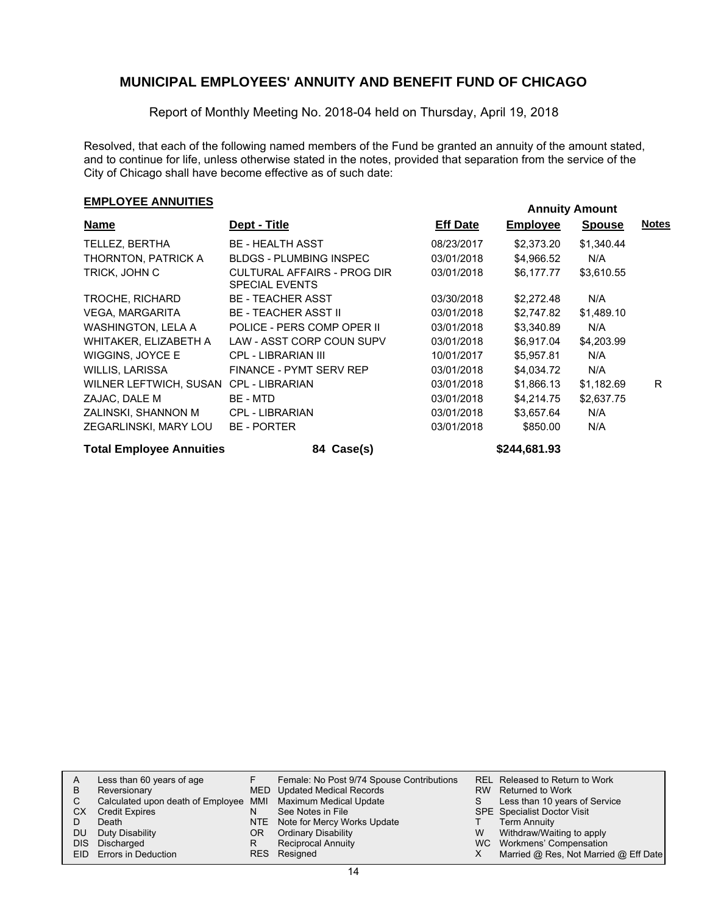Report of Monthly Meeting No. 2018-04 held on Thursday, April 19, 2018

Resolved, that each of the following named members of the Fund be granted an annuity of the amount stated, and to continue for life, unless otherwise stated in the notes, provided that separation from the service of the City of Chicago shall have become effective as of such date:

# **EMPLOYEE ANNUITIES**<br> **EMPLOYEE ANNUITIES**

| <b>Name</b>                     | Dept - Title                                         | <b>Eff Date</b> | <b>Employee</b> | <b>Spouse</b> | <b>Notes</b> |
|---------------------------------|------------------------------------------------------|-----------------|-----------------|---------------|--------------|
| TELLEZ, BERTHA                  | <b>BE - HEALTH ASST</b>                              | 08/23/2017      | \$2,373.20      | \$1,340.44    |              |
| THORNTON, PATRICK A             | <b>BLDGS - PLUMBING INSPEC</b>                       | 03/01/2018      | \$4,966.52      | N/A           |              |
| TRICK, JOHN C                   | CULTURAL AFFAIRS - PROG DIR<br><b>SPECIAL EVENTS</b> | 03/01/2018      | \$6,177.77      | \$3,610.55    |              |
| TROCHE, RICHARD                 | <b>BE - TEACHER ASST</b>                             | 03/30/2018      | \$2,272.48      | N/A           |              |
| VEGA, MARGARITA                 | <b>BE - TEACHER ASST II</b>                          | 03/01/2018      | \$2.747.82      | \$1,489.10    |              |
| WASHINGTON, LELA A              | POLICE - PERS COMP OPER II                           | 03/01/2018      | \$3,340.89      | N/A           |              |
| WHITAKER, ELIZABETH A           | LAW - ASST CORP COUN SUPV                            | 03/01/2018      | \$6,917.04      | \$4,203.99    |              |
| WIGGINS, JOYCE E                | CPL - LIBRARIAN III                                  | 10/01/2017      | \$5,957.81      | N/A           |              |
| WILLIS, LARISSA                 | FINANCE - PYMT SERV REP                              | 03/01/2018      | \$4,034.72      | N/A           |              |
| WILNER LEFTWICH, SUSAN          | CPL - LIBRARIAN                                      | 03/01/2018      | \$1,866.13      | \$1,182.69    | R.           |
| ZAJAC, DALE M                   | BE - MTD                                             | 03/01/2018      | \$4,214.75      | \$2,637.75    |              |
| ZALINSKI, SHANNON M             | <b>CPL - LIBRARIAN</b>                               | 03/01/2018      | \$3,657.64      | N/A           |              |
| ZEGARLINSKI, MARY LOU           | <b>BE - PORTER</b>                                   | 03/01/2018      | \$850.00        | N/A           |              |
| <b>Total Employee Annuities</b> | 84 Case(s)                                           |                 | \$244,681.93    |               |              |

| A    | Less than 60 years of age                                    |    | Female: No Post 9/74 Spouse Contributions |     | REL Released to Return to Work        |
|------|--------------------------------------------------------------|----|-------------------------------------------|-----|---------------------------------------|
| в    | Reversionary                                                 |    | MED Updated Medical Records               | RW. | Returned to Work                      |
| C    | Calculated upon death of Employee MMI Maximum Medical Update |    |                                           |     | Less than 10 years of Service         |
| CХ   | <b>Credit Expires</b>                                        |    | See Notes in File                         |     | <b>SPE</b> Specialist Doctor Visit    |
|      | Death                                                        |    | NTE Note for Mercy Works Update           |     | <b>Term Annuity</b>                   |
| DU   | Duty Disability                                              | OR | <b>Ordinary Disability</b>                | W   | Withdraw/Waiting to apply             |
| DIS. | Discharged                                                   | R  | <b>Reciprocal Annuity</b>                 |     | WC Workmens' Compensation             |
|      | EID Errors in Deduction                                      |    | RES Resigned                              |     | Married @ Res, Not Married @ Eff Date |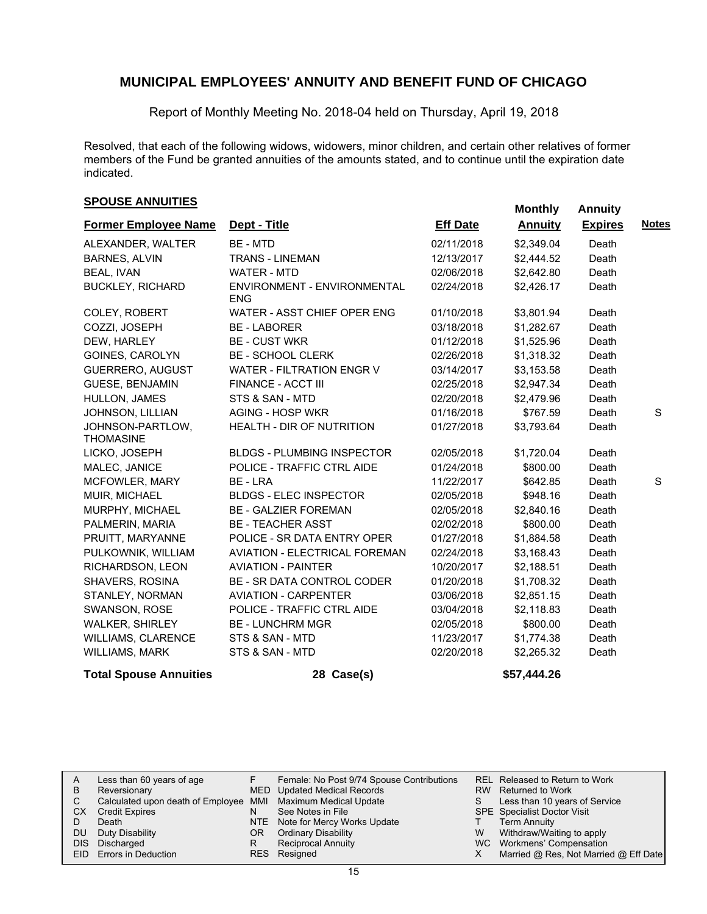Report of Monthly Meeting No. 2018-04 held on Thursday, April 19, 2018

Resolved, that each of the following widows, widowers, minor children, and certain other relatives of former members of the Fund be granted annuities of the amounts stated, and to continue until the expiration date indicated.

### **SPOUSE ANNUITIES**<br> **SPOUSE ANNUITIES**

|                                      |                                           |                 | <b>INDITION</b> | <u>AUTHOLY</u> |              |
|--------------------------------------|-------------------------------------------|-----------------|-----------------|----------------|--------------|
| <b>Former Employee Name</b>          | Dept - Title                              | <b>Eff Date</b> | <b>Annuity</b>  | <b>Expires</b> | <b>Notes</b> |
| ALEXANDER, WALTER                    | <b>BE - MTD</b>                           | 02/11/2018      | \$2,349.04      | Death          |              |
| <b>BARNES, ALVIN</b>                 | <b>TRANS - LINEMAN</b>                    | 12/13/2017      | \$2,444.52      | Death          |              |
| <b>BEAL, IVAN</b>                    | <b>WATER - MTD</b>                        | 02/06/2018      | \$2,642.80      | Death          |              |
| <b>BUCKLEY, RICHARD</b>              | ENVIRONMENT - ENVIRONMENTAL<br><b>ENG</b> | 02/24/2018      | \$2,426.17      | Death          |              |
| COLEY, ROBERT                        | WATER - ASST CHIEF OPER ENG               | 01/10/2018      | \$3,801.94      | Death          |              |
| COZZI, JOSEPH                        | <b>BE-LABORER</b>                         | 03/18/2018      | \$1,282.67      | Death          |              |
| DEW. HARLEY                          | <b>BE - CUST WKR</b>                      | 01/12/2018      | \$1,525.96      | Death          |              |
| GOINES, CAROLYN                      | <b>BE - SCHOOL CLERK</b>                  | 02/26/2018      | \$1,318.32      | Death          |              |
| GUERRERO, AUGUST                     | <b>WATER - FILTRATION ENGR V</b>          | 03/14/2017      | \$3,153.58      | Death          |              |
| <b>GUESE, BENJAMIN</b>               | FINANCE - ACCT III                        | 02/25/2018      | \$2,947.34      | Death          |              |
| HULLON, JAMES                        | STS & SAN - MTD                           | 02/20/2018      | \$2,479.96      | Death          |              |
| JOHNSON, LILLIAN                     | <b>AGING - HOSP WKR</b>                   | 01/16/2018      | \$767.59        | Death          | S            |
| JOHNSON-PARTLOW,<br><b>THOMASINE</b> | <b>HEALTH - DIR OF NUTRITION</b>          | 01/27/2018      | \$3,793.64      | Death          |              |
| LICKO, JOSEPH                        | <b>BLDGS - PLUMBING INSPECTOR</b>         | 02/05/2018      | \$1,720.04      | Death          |              |
| MALEC, JANICE                        | POLICE - TRAFFIC CTRL AIDE                | 01/24/2018      | \$800.00        | Death          |              |
| MCFOWLER, MARY                       | BE - LRA                                  | 11/22/2017      | \$642.85        | Death          | S            |
| MUIR, MICHAEL                        | <b>BLDGS - ELEC INSPECTOR</b>             | 02/05/2018      | \$948.16        | Death          |              |
| MURPHY, MICHAEL                      | <b>BE - GALZIER FOREMAN</b>               | 02/05/2018      | \$2,840.16      | Death          |              |
| PALMERIN, MARIA                      | <b>BE - TEACHER ASST</b>                  | 02/02/2018      | \$800.00        | Death          |              |
| PRUITT, MARYANNE                     | POLICE - SR DATA ENTRY OPER               | 01/27/2018      | \$1,884.58      | Death          |              |
| PULKOWNIK, WILLIAM                   | <b>AVIATION - ELECTRICAL FOREMAN</b>      | 02/24/2018      | \$3,168.43      | Death          |              |
| RICHARDSON, LEON                     | <b>AVIATION - PAINTER</b>                 | 10/20/2017      | \$2,188.51      | Death          |              |
| SHAVERS, ROSINA                      | <b>BE - SR DATA CONTROL CODER</b>         | 01/20/2018      | \$1,708.32      | Death          |              |
| STANLEY, NORMAN                      | <b>AVIATION - CARPENTER</b>               | 03/06/2018      | \$2,851.15      | Death          |              |
| SWANSON, ROSE                        | POLICE - TRAFFIC CTRL AIDE                | 03/04/2018      | \$2,118.83      | Death          |              |
| <b>WALKER, SHIRLEY</b>               | <b>BE - LUNCHRM MGR</b>                   | 02/05/2018      | \$800.00        | Death          |              |
| WILLIAMS, CLARENCE                   | STS & SAN - MTD                           | 11/23/2017      | \$1,774.38      | Death          |              |
| <b>WILLIAMS, MARK</b>                | STS & SAN - MTD                           | 02/20/2018      | \$2,265.32      | Death          |              |

### **Total Spouse Annuities 28 Case(s) \$57,444.26**

|           | Less than 60 years of age                                    |    | Female: No Post 9/74 Spouse Contributions |   | REL Released to Return to Work        |
|-----------|--------------------------------------------------------------|----|-------------------------------------------|---|---------------------------------------|
| B         | Reversionary                                                 |    | MED Updated Medical Records               |   | RW Returned to Work                   |
|           | Calculated upon death of Employee MMI Maximum Medical Update |    |                                           | S | Less than 10 years of Service         |
| <b>CX</b> | <b>Credit Expires</b>                                        |    | See Notes in File                         |   | <b>SPE</b> Specialist Doctor Visit    |
|           | Death                                                        |    | NTE Note for Mercy Works Update           |   | <b>Term Annuity</b>                   |
| <b>DU</b> | Duty Disability                                              | 0R | <b>Ordinary Disability</b>                | W | Withdraw/Waiting to apply             |
|           | DIS Discharged                                               |    | Reciprocal Annuity                        |   | WC Workmens' Compensation             |
|           | EID Errors in Deduction                                      |    | RES Resigned                              |   | Married @ Res, Not Married @ Eff Date |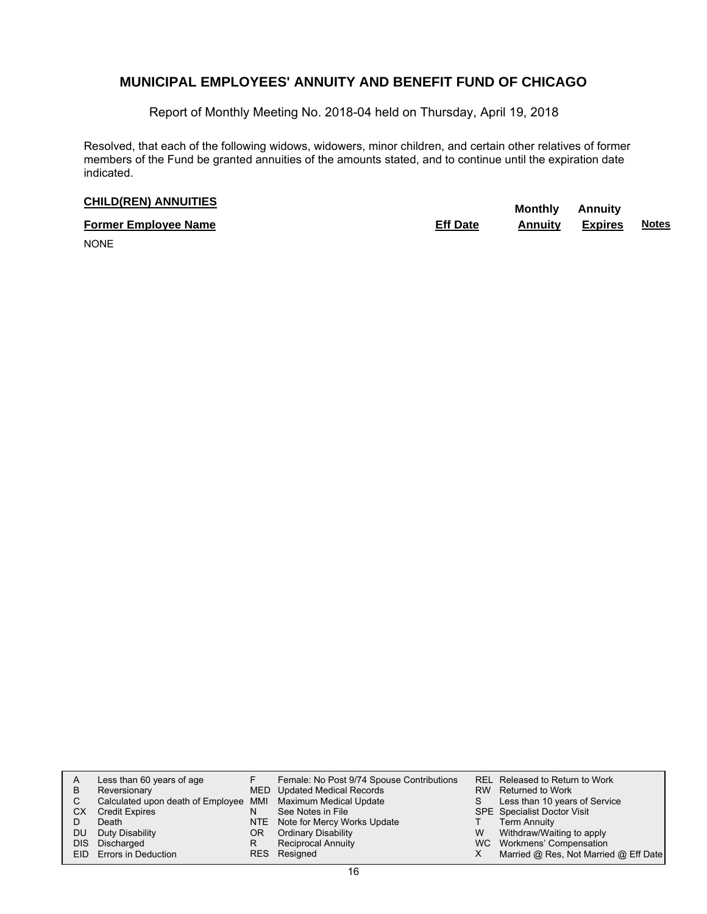Report of Monthly Meeting No. 2018-04 held on Thursday, April 19, 2018

Resolved, that each of the following widows, widowers, minor children, and certain other relatives of former members of the Fund be granted annuities of the amounts stated, and to continue until the expiration date indicated.

# **CHILD(REN) ANNUITIES**<br> **CHILD(REN) Annuity**

| <b>Former Employee Name</b> | <b>Eff Date</b> | Annuitv | <b>Expires</b> | <b>Notes</b> |
|-----------------------------|-----------------|---------|----------------|--------------|
| $\cdots$                    |                 |         |                |              |

NONE

|    | Less than 60 years of age                                    |     | Female: No Post 9/74 Spouse Contributions |   | REL Released to Return to Work        |
|----|--------------------------------------------------------------|-----|-------------------------------------------|---|---------------------------------------|
| в  | Reversionary                                                 |     | MED Updated Medical Records               |   | RW Returned to Work                   |
| C  | Calculated upon death of Employee MMI Maximum Medical Update |     |                                           | S | Less than 10 years of Service         |
| CХ | <b>Credit Expires</b>                                        | N   | See Notes in File                         |   | <b>SPE</b> Specialist Doctor Visit    |
|    | Death                                                        |     | NTE Note for Mercy Works Update           |   | <b>Term Annuity</b>                   |
| DU | Duty Disability                                              | OR. | <b>Ordinary Disability</b>                | W | Withdraw/Waiting to apply             |
|    | DIS Discharged                                               | R   | <b>Reciprocal Annuity</b>                 |   | WC Workmens' Compensation             |
|    | EID Errors in Deduction                                      |     | RES Resigned                              |   | Married @ Res, Not Married @ Eff Date |
|    |                                                              |     |                                           |   |                                       |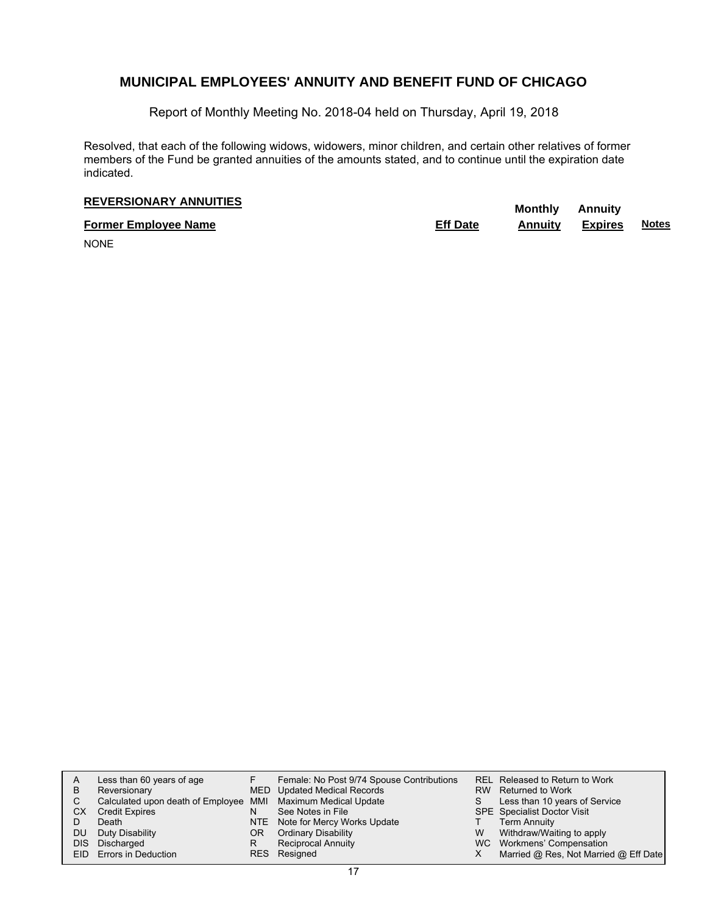Report of Monthly Meeting No. 2018-04 held on Thursday, April 19, 2018

Resolved, that each of the following widows, widowers, minor children, and certain other relatives of former members of the Fund be granted annuities of the amounts stated, and to continue until the expiration date indicated.

# **REVERSIONARY ANNUITIES** Monthly Annuity

**Former Employee Name Eff Date Annuity Expires Notes**

NONE

| A    | Less than 60 years of age                                    |     | Female: No Post 9/74 Spouse Contributions |           | REL Released to Return to Work        |
|------|--------------------------------------------------------------|-----|-------------------------------------------|-----------|---------------------------------------|
| B    | Reversionary                                                 |     | MED Updated Medical Records               | <b>RW</b> | Returned to Work                      |
| С    | Calculated upon death of Employee MMI Maximum Medical Update |     |                                           |           | Less than 10 years of Service         |
| СX   | <b>Credit Expires</b>                                        | N   | See Notes in File                         |           | <b>SPE</b> Specialist Doctor Visit    |
|      | Death                                                        | NTE | Note for Mercy Works Update               |           | <b>Term Annuity</b>                   |
| DU   | Duty Disability                                              | OR  | <b>Ordinary Disability</b>                | W         | Withdraw/Waiting to apply             |
| DIS. | Discharged                                                   | R   | Reciprocal Annuity                        |           | WC Workmens' Compensation             |
|      | EID Errors in Deduction                                      | RES | Resigned                                  |           | Married @ Res, Not Married @ Eff Date |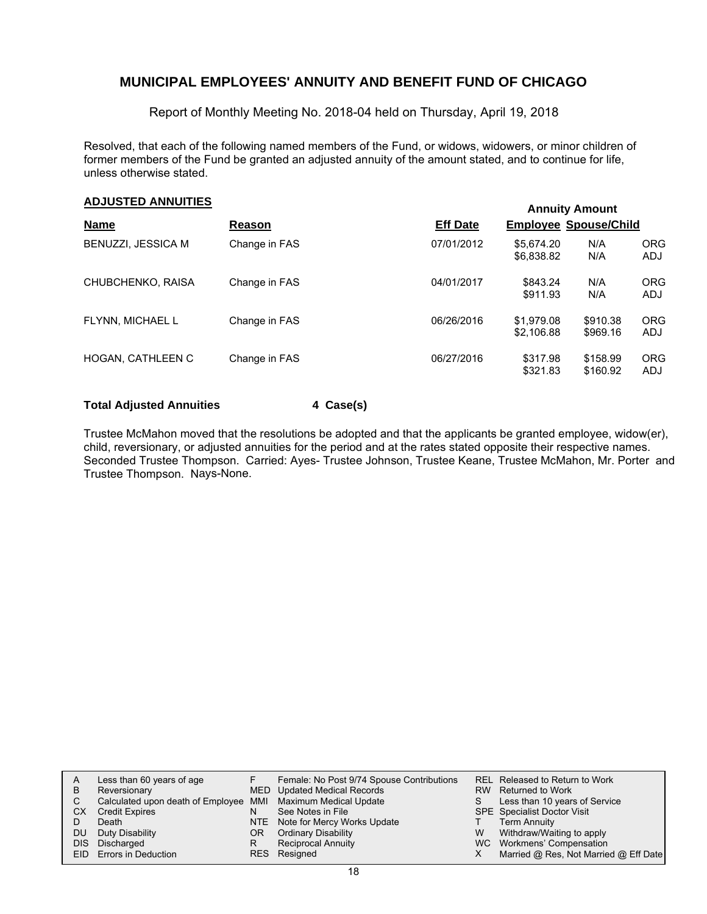Report of Monthly Meeting No. 2018-04 held on Thursday, April 19, 2018

Resolved, that each of the following named members of the Fund, or widows, widowers, or minor children of former members of the Fund be granted an adjusted annuity of the amount stated, and to continue for life, unless otherwise stated.

# **Annuity Amount ADJUSTED ANNUITIES**

|                           |               | AUTOR AND A     |                              |                      |                          |  |  |
|---------------------------|---------------|-----------------|------------------------------|----------------------|--------------------------|--|--|
| <b>Name</b>               | Reason        | <b>Eff Date</b> | <b>Employee Spouse/Child</b> |                      |                          |  |  |
| <b>BENUZZI, JESSICA M</b> | Change in FAS | 07/01/2012      | \$5,674.20<br>\$6,838.82     | N/A<br>N/A           | <b>ORG</b><br><b>ADJ</b> |  |  |
| CHUBCHENKO, RAISA         | Change in FAS | 04/01/2017      | \$843.24<br>\$911.93         | N/A<br>N/A           | <b>ORG</b><br>ADJ        |  |  |
| FLYNN. MICHAEL L          | Change in FAS | 06/26/2016      | \$1,979.08<br>\$2,106.88     | \$910.38<br>\$969.16 | <b>ORG</b><br>ADJ        |  |  |
| HOGAN, CATHLEEN C         | Change in FAS | 06/27/2016      | \$317.98<br>\$321.83         | \$158.99<br>\$160.92 | <b>ORG</b><br>ADJ        |  |  |

### **Total Adjusted Annuities 4 Case(s)**

Trustee McMahon moved that the resolutions be adopted and that the applicants be granted employee, widow(er), child, reversionary, or adjusted annuities for the period and at the rates stated opposite their respective names. Seconded Trustee Thompson. Carried: Ayes- Trustee Johnson, Trustee Keane, Trustee McMahon, Mr. Porter and Trustee Thompson. Nays-None.

| A    | Less than 60 years of age                                    |    | Female: No Post 9/74 Spouse Contributions |   | REL Released to Return to Work        |
|------|--------------------------------------------------------------|----|-------------------------------------------|---|---------------------------------------|
| B    | Reversionary                                                 |    | MED Updated Medical Records               |   | RW Returned to Work                   |
| C    | Calculated upon death of Employee MMI Maximum Medical Update |    |                                           |   | Less than 10 years of Service         |
| СX   | <b>Credit Expires</b>                                        | N  | See Notes in File                         |   | <b>SPE</b> Specialist Doctor Visit    |
|      | Death                                                        |    | NTE Note for Mercy Works Update           |   | Term Annuity                          |
| DU   | Duty Disability                                              | OR | <b>Ordinary Disability</b>                | W | Withdraw/Waiting to apply             |
| DIS. | Discharged                                                   | R  | <b>Reciprocal Annuity</b>                 |   | WC Workmens' Compensation             |
|      | EID Errors in Deduction                                      |    | RES Resigned                              |   | Married @ Res, Not Married @ Eff Date |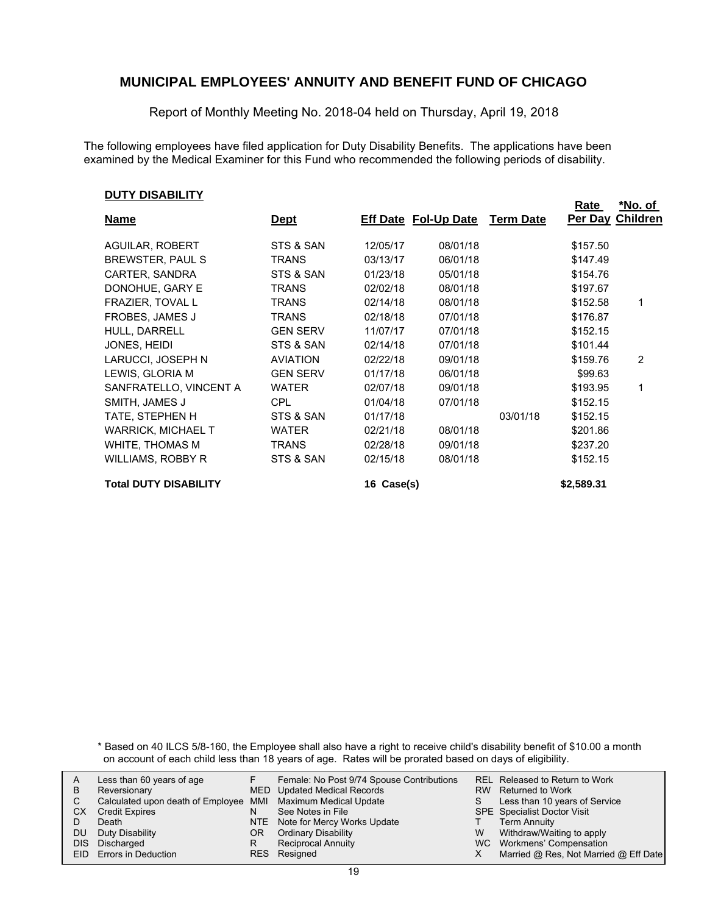Report of Monthly Meeting No. 2018-04 held on Thursday, April 19, 2018

The following employees have filed application for Duty Disability Benefits. The applications have been examined by the Medical Examiner for this Fund who recommended the following periods of disability.

#### **DUTY DISABILITY**

| ו ובוטאטוע ו וטע             |                 |            |                             |                  | <u>Rate</u> | <u>*No. of</u>   |
|------------------------------|-----------------|------------|-----------------------------|------------------|-------------|------------------|
| <b>Name</b>                  | <u>Dept</u>     |            | <b>Eff Date Fol-Up Date</b> | <b>Term Date</b> |             | Per Day Children |
|                              |                 |            |                             |                  |             |                  |
| AGUILAR, ROBERT              | STS & SAN       | 12/05/17   | 08/01/18                    |                  | \$157.50    |                  |
| BREWSTER, PAUL S             | <b>TRANS</b>    | 03/13/17   | 06/01/18                    |                  | \$147.49    |                  |
| CARTER, SANDRA               | STS & SAN       | 01/23/18   | 05/01/18                    |                  | \$154.76    |                  |
| DONOHUE, GARY E              | TRANS           | 02/02/18   | 08/01/18                    |                  | \$197.67    |                  |
| FRAZIER, TOVAL L             | <b>TRANS</b>    | 02/14/18   | 08/01/18                    |                  | \$152.58    | 1                |
| <b>FROBES, JAMES J</b>       | TRANS           | 02/18/18   | 07/01/18                    |                  | \$176.87    |                  |
| HULL, DARRELL                | <b>GEN SERV</b> | 11/07/17   | 07/01/18                    |                  | \$152.15    |                  |
| JONES, HEIDI                 | STS & SAN       | 02/14/18   | 07/01/18                    |                  | \$101.44    |                  |
| LARUCCI, JOSEPH N            | <b>AVIATION</b> | 02/22/18   | 09/01/18                    |                  | \$159.76    | 2                |
| LEWIS, GLORIA M              | <b>GEN SERV</b> | 01/17/18   | 06/01/18                    |                  | \$99.63     |                  |
| SANFRATELLO, VINCENT A       | WATER           | 02/07/18   | 09/01/18                    |                  | \$193.95    | 1                |
| SMITH, JAMES J               | CPL             | 01/04/18   | 07/01/18                    |                  | \$152.15    |                  |
| TATE, STEPHEN H              | STS & SAN       | 01/17/18   |                             | 03/01/18         | \$152.15    |                  |
| <b>WARRICK, MICHAEL T</b>    | <b>WATER</b>    | 02/21/18   | 08/01/18                    |                  | \$201.86    |                  |
| WHITE, THOMAS M              | TRANS           | 02/28/18   | 09/01/18                    |                  | \$237.20    |                  |
| WILLIAMS, ROBBY R            | STS & SAN       | 02/15/18   | 08/01/18                    |                  | \$152.15    |                  |
| <b>Total DUTY DISABILITY</b> |                 | 16 Case(s) |                             |                  | \$2,589.31  |                  |

\* Based on 40 ILCS 5/8-160, the Employee shall also have a right to receive child's disability benefit of \$10.00 a month on account of each child less than 18 years of age. Rates will be prorated based on days of eligibility.

|      | Less than 60 years of age                                    |     | Female: No Post 9/74 Spouse Contributions |    | REL Released to Return to Work        |
|------|--------------------------------------------------------------|-----|-------------------------------------------|----|---------------------------------------|
| B    | Reversionary                                                 |     | MED Updated Medical Records               |    | RW Returned to Work                   |
|      | Calculated upon death of Employee MMI Maximum Medical Update |     |                                           | S. | Less than 10 years of Service         |
| СX   | <b>Credit Expires</b>                                        | N   | See Notes in File                         |    | <b>SPE</b> Specialist Doctor Visit    |
|      | Death                                                        |     | NTE Note for Mercy Works Update           |    | <b>Term Annuity</b>                   |
| DU   | Duty Disability                                              | OR. | <b>Ordinary Disability</b>                | W  | Withdraw/Waiting to apply             |
| DIS. | Discharged                                                   |     | <b>Reciprocal Annuity</b>                 |    | WC Workmens' Compensation             |
|      | EID Errors in Deduction                                      |     | RES Resigned                              |    | Married @ Res, Not Married @ Eff Date |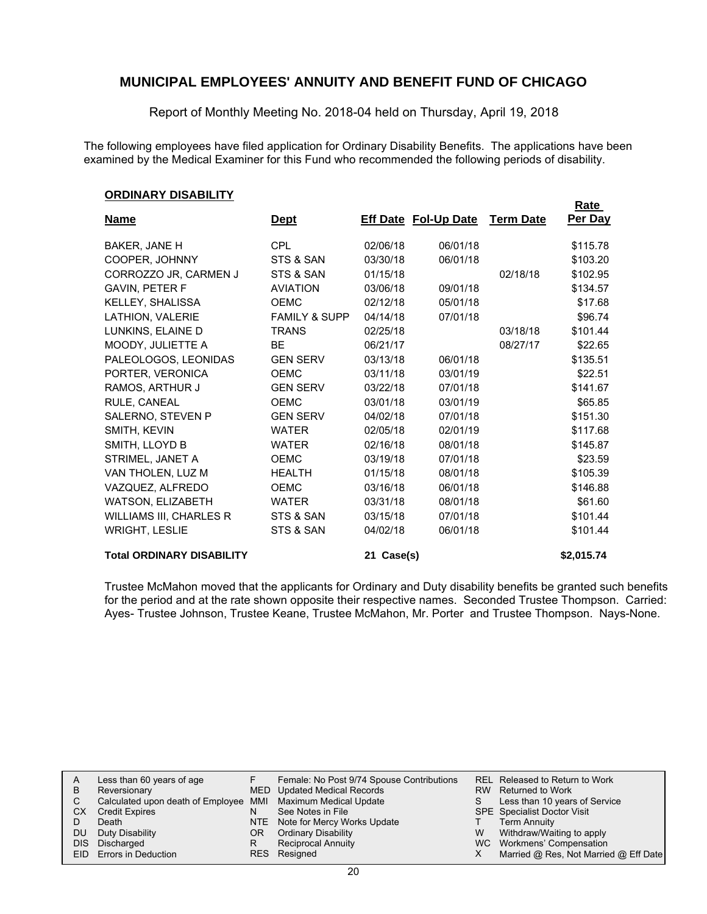Report of Monthly Meeting No. 2018-04 held on Thursday, April 19, 2018

The following employees have filed application for Ordinary Disability Benefits. The applications have been examined by the Medical Examiner for this Fund who recommended the following periods of disability.

#### **ORDINARY DISABILITY**

|                                |                          |          |                             |                  | <u>Rate</u> |
|--------------------------------|--------------------------|----------|-----------------------------|------------------|-------------|
| <b>Name</b>                    | <u>Dept</u>              |          | <b>Eff Date Fol-Up Date</b> | <b>Term Date</b> | Per Day     |
| BAKER, JANE H                  | <b>CPL</b>               | 02/06/18 | 06/01/18                    |                  | \$115.78    |
| COOPER, JOHNNY                 | STS & SAN                | 03/30/18 | 06/01/18                    |                  | \$103.20    |
| CORROZZO JR, CARMEN J          | STS & SAN                | 01/15/18 |                             | 02/18/18         | \$102.95    |
| <b>GAVIN, PETER F</b>          | <b>AVIATION</b>          | 03/06/18 | 09/01/18                    |                  | \$134.57    |
| KELLEY, SHALISSA               | <b>OEMC</b>              | 02/12/18 | 05/01/18                    |                  | \$17.68     |
| LATHION, VALERIE               | <b>FAMILY &amp; SUPP</b> | 04/14/18 | 07/01/18                    |                  | \$96.74     |
| LUNKINS, ELAINE D              | <b>TRANS</b>             | 02/25/18 |                             | 03/18/18         | \$101.44    |
| MOODY, JULIETTE A              | <b>BE</b>                | 06/21/17 |                             | 08/27/17         | \$22.65     |
| PALEOLOGOS, LEONIDAS           | <b>GEN SERV</b>          | 03/13/18 | 06/01/18                    |                  | \$135.51    |
| PORTER, VERONICA               | <b>OEMC</b>              | 03/11/18 | 03/01/19                    |                  | \$22.51     |
| RAMOS, ARTHUR J                | <b>GEN SERV</b>          | 03/22/18 | 07/01/18                    |                  | \$141.67    |
| RULE, CANEAL                   | <b>OEMC</b>              | 03/01/18 | 03/01/19                    |                  | \$65.85     |
| SALERNO, STEVEN P              | <b>GEN SERV</b>          | 04/02/18 | 07/01/18                    |                  | \$151.30    |
| SMITH, KEVIN                   | <b>WATER</b>             | 02/05/18 | 02/01/19                    |                  | \$117.68    |
| SMITH, LLOYD B                 | <b>WATER</b>             | 02/16/18 | 08/01/18                    |                  | \$145.87    |
| STRIMEL, JANET A               | <b>OEMC</b>              | 03/19/18 | 07/01/18                    |                  | \$23.59     |
| VAN THOLEN, LUZ M              | <b>HEALTH</b>            | 01/15/18 | 08/01/18                    |                  | \$105.39    |
| VAZQUEZ, ALFREDO               | <b>OEMC</b>              | 03/16/18 | 06/01/18                    |                  | \$146.88    |
| WATSON, ELIZABETH              | <b>WATER</b>             | 03/31/18 | 08/01/18                    |                  | \$61.60     |
| <b>WILLIAMS III, CHARLES R</b> | STS & SAN                | 03/15/18 | 07/01/18                    |                  | \$101.44    |
| <b>WRIGHT, LESLIE</b>          | STS & SAN                | 04/02/18 | 06/01/18                    |                  | \$101.44    |
|                                |                          |          |                             |                  |             |

#### **Total ORDINARY DISABILITY 21 Case(s) \$2,015.74**

Trustee McMahon moved that the applicants for Ordinary and Duty disability benefits be granted such benefits for the period and at the rate shown opposite their respective names. Seconded Trustee Thompson. Carried: Ayes- Trustee Johnson, Trustee Keane, Trustee McMahon, Mr. Porter and Trustee Thompson. Nays-None.

| A  | Less than 60 years of age                                    |     | Female: No Post 9/74 Spouse Contributions |   | REL Released to Return to Work        |
|----|--------------------------------------------------------------|-----|-------------------------------------------|---|---------------------------------------|
| В  | Reversionary                                                 |     | MED Updated Medical Records               |   | RW Returned to Work                   |
|    | Calculated upon death of Employee MMI Maximum Medical Update |     |                                           | S | Less than 10 years of Service         |
| СX | Credit Expires                                               | N   | See Notes in File                         |   | <b>SPE</b> Specialist Doctor Visit    |
|    | Death                                                        |     | NTE Note for Mercy Works Update           |   | <b>Term Annuity</b>                   |
| DU | Duty Disability                                              | OR. | <b>Ordinary Disability</b>                | W | Withdraw/Waiting to apply             |
|    | DIS Discharged                                               | R   | <b>Reciprocal Annuity</b>                 |   | WC Workmens' Compensation             |
|    | EID Errors in Deduction                                      |     | RES Resigned                              |   | Married @ Res, Not Married @ Eff Date |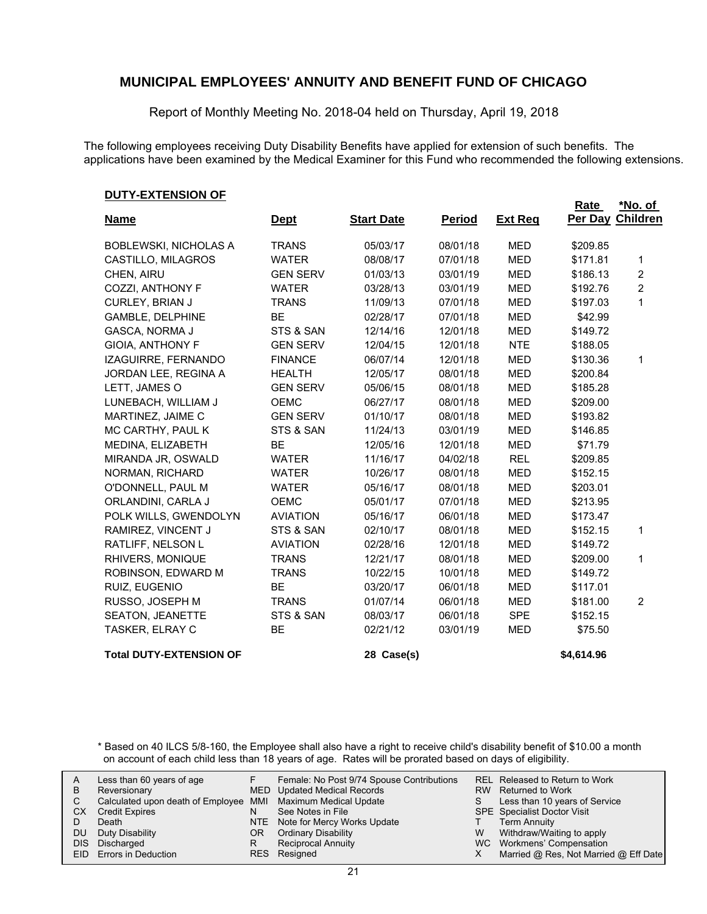Report of Monthly Meeting No. 2018-04 held on Thursday, April 19, 2018

The following employees receiving Duty Disability Benefits have applied for extension of such benefits. The applications have been examined by the Medical Examiner for this Fund who recommended the following extensions.

#### **DUTY-EXTENSION OF**

| <u> 2011 LATLIVION OF</u>      |                 |                   |               |                | Rate       | *No. of          |
|--------------------------------|-----------------|-------------------|---------------|----------------|------------|------------------|
| <b>Name</b>                    | <u>Dept</u>     | <b>Start Date</b> | <u>Period</u> | <b>Ext Reg</b> |            | Per Day Children |
| <b>BOBLEWSKI, NICHOLAS A</b>   | <b>TRANS</b>    | 05/03/17          | 08/01/18      | <b>MED</b>     | \$209.85   |                  |
| CASTILLO, MILAGROS             | <b>WATER</b>    | 08/08/17          | 07/01/18      | <b>MED</b>     | \$171.81   | 1                |
| CHEN, AIRU                     | <b>GEN SERV</b> | 01/03/13          | 03/01/19      | <b>MED</b>     | \$186.13   | 2                |
| COZZI, ANTHONY F               | <b>WATER</b>    | 03/28/13          | 03/01/19      | <b>MED</b>     | \$192.76   | $\overline{c}$   |
| CURLEY, BRIAN J                | <b>TRANS</b>    | 11/09/13          | 07/01/18      | <b>MED</b>     | \$197.03   | 1                |
| <b>GAMBLE, DELPHINE</b>        | <b>BE</b>       | 02/28/17          | 07/01/18      | <b>MED</b>     | \$42.99    |                  |
| <b>GASCA, NORMA J</b>          | STS & SAN       | 12/14/16          | 12/01/18      | <b>MED</b>     | \$149.72   |                  |
| <b>GIOIA, ANTHONY F</b>        | <b>GEN SERV</b> | 12/04/15          | 12/01/18      | <b>NTE</b>     | \$188.05   |                  |
| IZAGUIRRE, FERNANDO            | <b>FINANCE</b>  | 06/07/14          | 12/01/18      | <b>MED</b>     | \$130.36   | 1                |
| JORDAN LEE, REGINA A           | <b>HEALTH</b>   | 12/05/17          | 08/01/18      | <b>MED</b>     | \$200.84   |                  |
| LETT, JAMES O                  | <b>GEN SERV</b> | 05/06/15          | 08/01/18      | <b>MED</b>     | \$185.28   |                  |
| LUNEBACH, WILLIAM J            | <b>OEMC</b>     | 06/27/17          | 08/01/18      | <b>MED</b>     | \$209.00   |                  |
| MARTINEZ, JAIME C              | <b>GEN SERV</b> | 01/10/17          | 08/01/18      | <b>MED</b>     | \$193.82   |                  |
| MC CARTHY, PAUL K              | STS & SAN       | 11/24/13          | 03/01/19      | <b>MED</b>     | \$146.85   |                  |
| MEDINA, ELIZABETH              | <b>BE</b>       | 12/05/16          | 12/01/18      | <b>MED</b>     | \$71.79    |                  |
| MIRANDA JR, OSWALD             | <b>WATER</b>    | 11/16/17          | 04/02/18      | <b>REL</b>     | \$209.85   |                  |
| NORMAN, RICHARD                | <b>WATER</b>    | 10/26/17          | 08/01/18      | <b>MED</b>     | \$152.15   |                  |
| O'DONNELL, PAUL M              | <b>WATER</b>    | 05/16/17          | 08/01/18      | <b>MED</b>     | \$203.01   |                  |
| ORLANDINI, CARLA J             | <b>OEMC</b>     | 05/01/17          | 07/01/18      | <b>MED</b>     | \$213.95   |                  |
| POLK WILLS, GWENDOLYN          | <b>AVIATION</b> | 05/16/17          | 06/01/18      | <b>MED</b>     | \$173.47   |                  |
| RAMIREZ, VINCENT J             | STS & SAN       | 02/10/17          | 08/01/18      | <b>MED</b>     | \$152.15   | 1                |
| RATLIFF, NELSON L              | <b>AVIATION</b> | 02/28/16          | 12/01/18      | <b>MED</b>     | \$149.72   |                  |
| RHIVERS, MONIQUE               | <b>TRANS</b>    | 12/21/17          | 08/01/18      | <b>MED</b>     | \$209.00   | 1                |
| ROBINSON, EDWARD M             | <b>TRANS</b>    | 10/22/15          | 10/01/18      | <b>MED</b>     | \$149.72   |                  |
| RUIZ, EUGENIO                  | <b>BE</b>       | 03/20/17          | 06/01/18      | <b>MED</b>     | \$117.01   |                  |
| RUSSO, JOSEPH M                | <b>TRANS</b>    | 01/07/14          | 06/01/18      | <b>MED</b>     | \$181.00   | 2                |
| <b>SEATON, JEANETTE</b>        | STS & SAN       | 08/03/17          | 06/01/18      | <b>SPE</b>     | \$152.15   |                  |
| TASKER, ELRAY C                | <b>BE</b>       | 02/21/12          | 03/01/19      | <b>MED</b>     | \$75.50    |                  |
| <b>Total DUTY-EXTENSION OF</b> |                 | 28 Case(s)        |               |                | \$4,614.96 |                  |

\* Based on 40 ILCS 5/8-160, the Employee shall also have a right to receive child's disability benefit of \$10.00 a month on account of each child less than 18 years of age. Rates will be prorated based on days of eligibility.

| B<br>СX<br>DU<br>DIS. | Less than 60 years of age<br>Reversionary<br>Calculated upon death of Employee MMI Maximum Medical Update<br><b>Credit Expires</b><br>Death<br>Duty Disability<br>Discharged<br>EID Errors in Deduction | N<br>ΟR<br>R | Female: No Post 9/74 Spouse Contributions<br>MED Updated Medical Records<br>See Notes in File<br>NTE Note for Mercy Works Update<br><b>Ordinary Disability</b><br><b>Reciprocal Annuity</b><br>RES Resigned | S<br>W | REL Released to Return to Work<br>RW Returned to Work<br>Less than 10 years of Service<br>SPE Specialist Doctor Visit<br><b>Term Annuity</b><br>Withdraw/Waiting to apply<br>WC Workmens' Compensation<br>Married @ Res, Not Married @ Eff Date |
|-----------------------|---------------------------------------------------------------------------------------------------------------------------------------------------------------------------------------------------------|--------------|-------------------------------------------------------------------------------------------------------------------------------------------------------------------------------------------------------------|--------|-------------------------------------------------------------------------------------------------------------------------------------------------------------------------------------------------------------------------------------------------|
|-----------------------|---------------------------------------------------------------------------------------------------------------------------------------------------------------------------------------------------------|--------------|-------------------------------------------------------------------------------------------------------------------------------------------------------------------------------------------------------------|--------|-------------------------------------------------------------------------------------------------------------------------------------------------------------------------------------------------------------------------------------------------|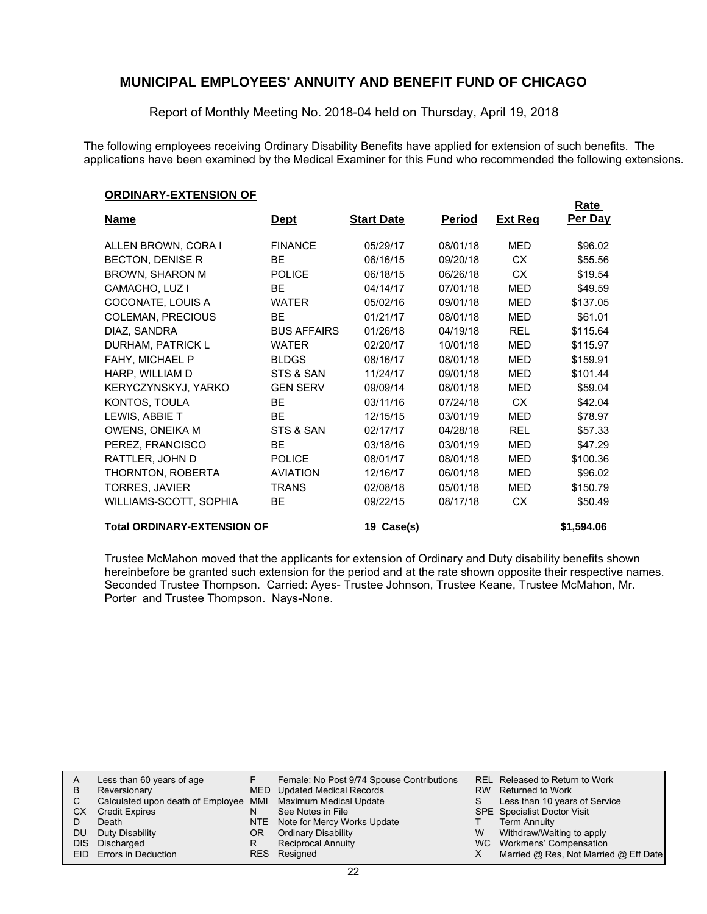Report of Monthly Meeting No. 2018-04 held on Thursday, April 19, 2018

The following employees receiving Ordinary Disability Benefits have applied for extension of such benefits. The applications have been examined by the Medical Examiner for this Fund who recommended the following extensions.

#### **ORDINARY-EXTENSION OF**

|                                    |                    |                   |               |                | <u>Rate</u> |
|------------------------------------|--------------------|-------------------|---------------|----------------|-------------|
| <b>Name</b>                        | <u>Dept</u>        | <b>Start Date</b> | <u>Period</u> | <b>Ext Reg</b> | Per Day     |
| ALLEN BROWN, CORA I                | <b>FINANCE</b>     | 05/29/17          | 08/01/18      | MED            | \$96.02     |
| <b>BECTON, DENISE R</b>            | BE.                | 06/16/15          | 09/20/18      | CX.            | \$55.56     |
| <b>BROWN, SHARON M</b>             | <b>POLICE</b>      | 06/18/15          | 06/26/18      | <b>CX</b>      | \$19.54     |
| CAMACHO, LUZ I                     | <b>BF</b>          | 04/14/17          | 07/01/18      | <b>MED</b>     | \$49.59     |
| COCONATE, LOUIS A                  | <b>WATER</b>       | 05/02/16          | 09/01/18      | MED            | \$137.05    |
| COLEMAN, PRECIOUS                  | <b>BE</b>          | 01/21/17          | 08/01/18      | MED            | \$61.01     |
| DIAZ, SANDRA                       | <b>BUS AFFAIRS</b> | 01/26/18          | 04/19/18      | <b>REL</b>     | \$115.64    |
| DURHAM, PATRICK L                  | <b>WATER</b>       | 02/20/17          | 10/01/18      | MED            | \$115.97    |
| FAHY, MICHAEL P                    | <b>BLDGS</b>       | 08/16/17          | 08/01/18      | MED            | \$159.91    |
| HARP, WILLIAM D                    | STS & SAN          | 11/24/17          | 09/01/18      | <b>MED</b>     | \$101.44    |
| KERYCZYNSKYJ, YARKO                | <b>GEN SERV</b>    | 09/09/14          | 08/01/18      | MED            | \$59.04     |
| KONTOS, TOULA                      | <b>BE</b>          | 03/11/16          | 07/24/18      | CX             | \$42.04     |
| LEWIS, ABBIE T                     | <b>BE</b>          | 12/15/15          | 03/01/19      | <b>MED</b>     | \$78.97     |
| OWENS, ONEIKA M                    | STS & SAN          | 02/17/17          | 04/28/18      | <b>REL</b>     | \$57.33     |
| PEREZ, FRANCISCO                   | <b>BE</b>          | 03/18/16          | 03/01/19      | MED            | \$47.29     |
| RATTLER, JOHN D                    | <b>POLICE</b>      | 08/01/17          | 08/01/18      | <b>MED</b>     | \$100.36    |
| THORNTON, ROBERTA                  | <b>AVIATION</b>    | 12/16/17          | 06/01/18      | MED            | \$96.02     |
| <b>TORRES, JAVIER</b>              | <b>TRANS</b>       | 02/08/18          | 05/01/18      | MED            | \$150.79    |
| WILLIAMS-SCOTT, SOPHIA             | <b>BE</b>          | 09/22/15          | 08/17/18      | <b>CX</b>      | \$50.49     |
| <b>Total ORDINARY-EXTENSION OF</b> |                    | 19 Case(s)        |               |                | \$1,594.06  |

Trustee McMahon moved that the applicants for extension of Ordinary and Duty disability benefits shown hereinbefore be granted such extension for the period and at the rate shown opposite their respective names. Seconded Trustee Thompson. Carried: Ayes- Trustee Johnson, Trustee Keane, Trustee McMahon, Mr. Porter and Trustee Thompson. Nays-None.

| A   | Less than 60 years of age                                    |    | Female: No Post 9/74 Spouse Contributions |    | REL Released to Return to Work        |
|-----|--------------------------------------------------------------|----|-------------------------------------------|----|---------------------------------------|
| В   | Reversionary                                                 |    | MED Updated Medical Records               |    | RW Returned to Work                   |
|     | Calculated upon death of Employee MMI Maximum Medical Update |    |                                           | S. | Less than 10 years of Service         |
| СX  | <b>Credit Expires</b>                                        | N  | See Notes in File                         |    | SPE Specialist Doctor Visit           |
|     | Death                                                        |    | NTE Note for Mercy Works Update           |    | <b>Term Annuity</b>                   |
| DU. | Duty Disability                                              | OR | <b>Ordinary Disability</b>                | W  | Withdraw/Waiting to apply             |
|     | DIS Discharged                                               |    | <b>Reciprocal Annuity</b>                 |    | WC Workmens' Compensation             |
|     | EID Errors in Deduction                                      |    | RES Resigned                              |    | Married @ Res, Not Married @ Eff Date |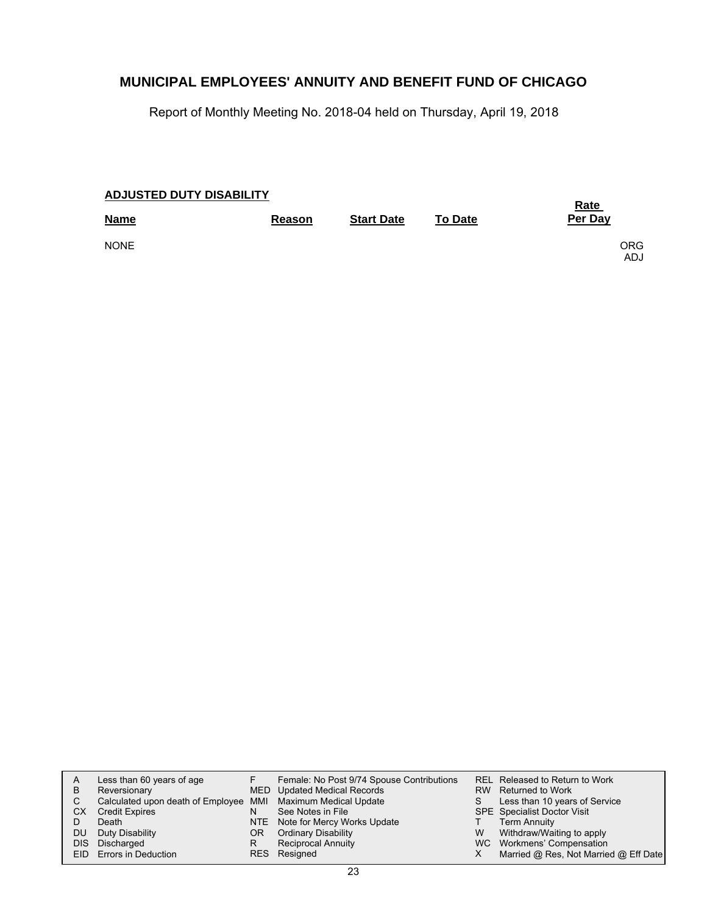Report of Monthly Meeting No. 2018-04 held on Thursday, April 19, 2018

| <b>ADJUSTED DUTY DISABILITY</b> | <b>Rate</b> |                   |                |             |
|---------------------------------|-------------|-------------------|----------------|-------------|
| <b>Name</b>                     | Reason      | <b>Start Date</b> | <b>To Date</b> | Per Day     |
| <b>NONE</b>                     |             |                   |                | ORG<br>ADJ. |

| A<br>B<br>CХ | Less than 60 years of age<br>Reversionary<br>Calculated upon death of Employee MMI Maximum Medical Update<br><b>Credit Expires</b> | N  | Female: No Post 9/74 Spouse Contributions<br>MED Updated Medical Records<br>See Notes in File<br>NTE Note for Mercy Works Update | S. | REL Released to Return to Work<br>RW Returned to Work<br>Less than 10 years of Service<br><b>SPE</b> Specialist Doctor Visit<br>Term Annuity |
|--------------|------------------------------------------------------------------------------------------------------------------------------------|----|----------------------------------------------------------------------------------------------------------------------------------|----|----------------------------------------------------------------------------------------------------------------------------------------------|
| DU           | Duty Disability                                                                                                                    | OR | <b>Ordinary Disability</b>                                                                                                       | W  | Withdraw/Waiting to apply                                                                                                                    |
| DIS.         | Discharged<br>EID Errors in Deduction                                                                                              | R  | <b>Reciprocal Annuity</b><br>RES Resigned                                                                                        |    | WC Workmens' Compensation<br>Married @ Res, Not Married @ Eff Date                                                                           |
|              |                                                                                                                                    |    |                                                                                                                                  |    |                                                                                                                                              |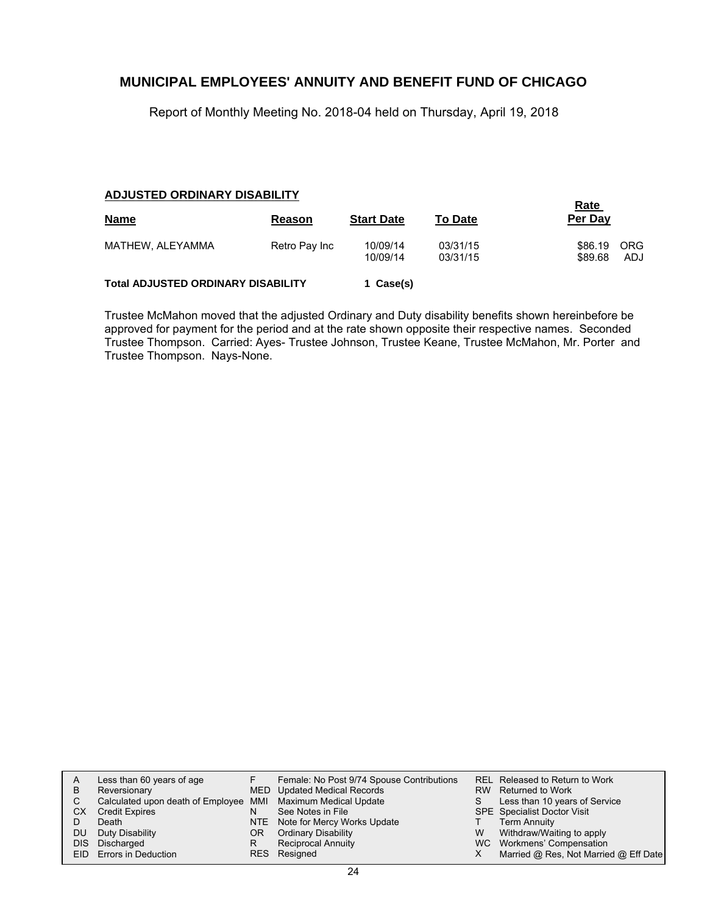Report of Monthly Meeting No. 2018-04 held on Thursday, April 19, 2018

#### **ADJUSTED ORDINARY DISABILITY**

| <b>Name</b>                               | Reason        | <b>Start Date</b>    | <b>To Date</b>       | <b>Rate</b><br>Per Day |                   |
|-------------------------------------------|---------------|----------------------|----------------------|------------------------|-------------------|
| MATHEW, ALEYAMMA                          | Retro Pay Inc | 10/09/14<br>10/09/14 | 03/31/15<br>03/31/15 | \$86.19<br>\$89.68     | <b>ORG</b><br>ADJ |
| <b>Total ADJUSTED ORDINARY DISABILITY</b> |               | 1 Case(s)            |                      |                        |                   |

Trustee McMahon moved that the adjusted Ordinary and Duty disability benefits shown hereinbefore be approved for payment for the period and at the rate shown opposite their respective names. Seconded Trustee Thompson. Carried: Ayes- Trustee Johnson, Trustee Keane, Trustee McMahon, Mr. Porter and Trustee Thompson. Nays-None.

| А    | Less than 60 years of age                                    |    | Female: No Post 9/74 Spouse Contributions |   | REL Released to Return to Work        |
|------|--------------------------------------------------------------|----|-------------------------------------------|---|---------------------------------------|
| B    | Reversionary                                                 |    | MED Updated Medical Records               |   | RW Returned to Work                   |
|      | Calculated upon death of Employee MMI Maximum Medical Update |    |                                           | S | Less than 10 years of Service         |
| СX   | <b>Credit Expires</b>                                        | N  | See Notes in File                         |   | <b>SPE</b> Specialist Doctor Visit    |
|      | Death                                                        |    | NTE Note for Mercy Works Update           |   | <b>Term Annuity</b>                   |
| DU   | Duty Disability                                              | OR | <b>Ordinary Disability</b>                | W | Withdraw/Waiting to apply             |
| DIS. | Discharged                                                   | R  | Reciprocal Annuity                        |   | WC Workmens' Compensation             |
|      | EID Errors in Deduction                                      |    | RES Resigned                              |   | Married @ Res, Not Married @ Eff Date |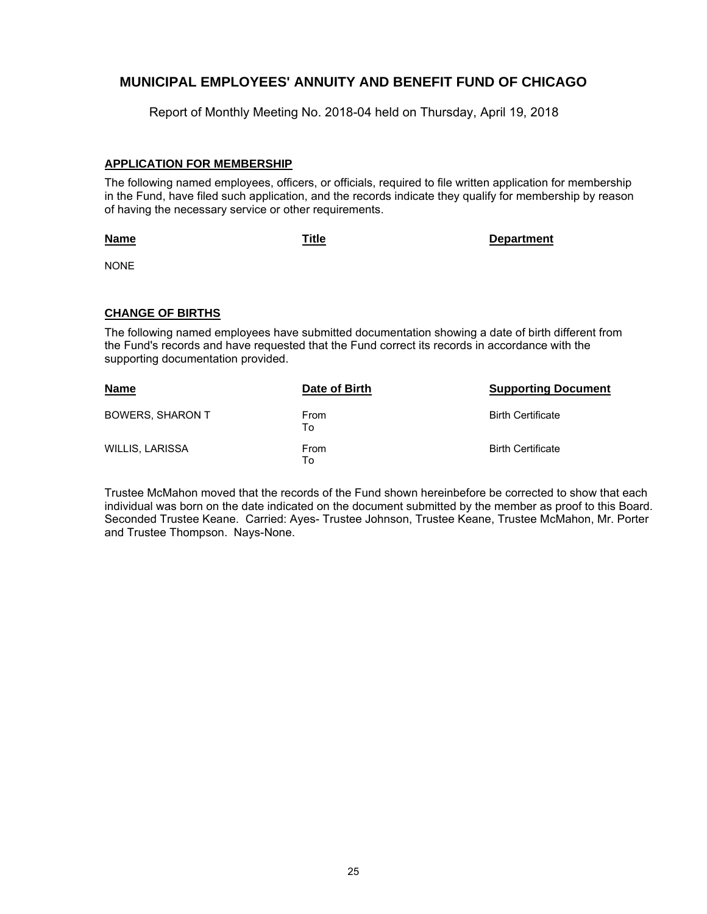Report of Monthly Meeting No. 2018-04 held on Thursday, April 19, 2018

### **APPLICATION FOR MEMBERSHIP**

The following named employees, officers, or officials, required to file written application for membership in the Fund, have filed such application, and the records indicate they qualify for membership by reason of having the necessary service or other requirements.

#### **Name**

**Title Department**

NONE

### **CHANGE OF BIRTHS**

The following named employees have submitted documentation showing a date of birth different from the Fund's records and have requested that the Fund correct its records in accordance with the supporting documentation provided.

| <b>Name</b>             | Date of Birth     | <b>Supporting Document</b> |
|-------------------------|-------------------|----------------------------|
| <b>BOWERS, SHARON T</b> | From<br>To        | <b>Birth Certificate</b>   |
| WILLIS, LARISSA         | <b>From</b><br>To | <b>Birth Certificate</b>   |

Trustee McMahon moved that the records of the Fund shown hereinbefore be corrected to show that each individual was born on the date indicated on the document submitted by the member as proof to this Board. Seconded Trustee Keane. Carried: Ayes- Trustee Johnson, Trustee Keane, Trustee McMahon, Mr. Porter and Trustee Thompson. Nays-None.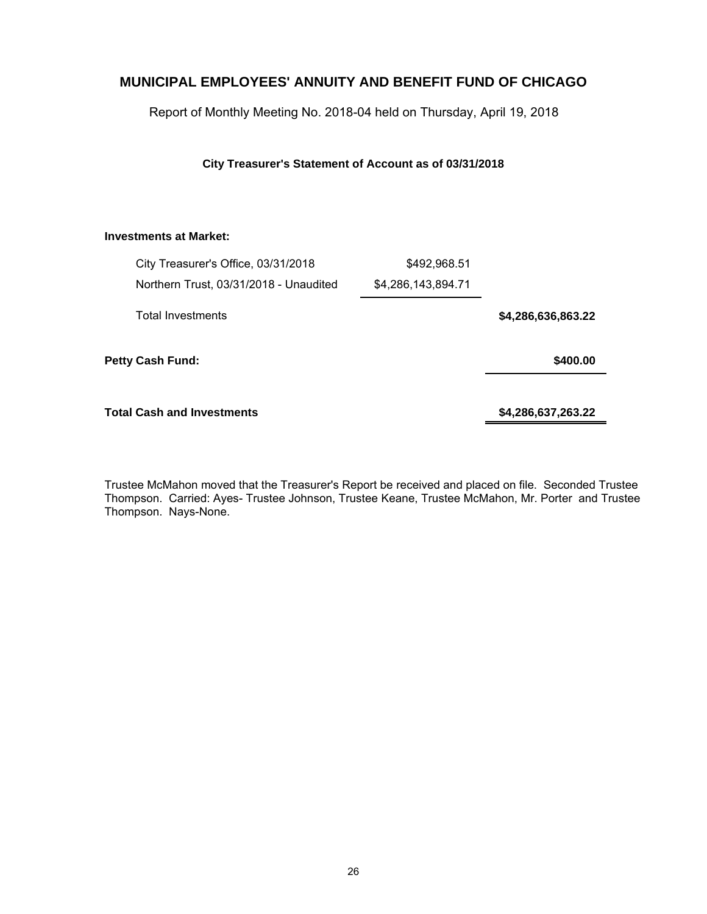Report of Monthly Meeting No. 2018-04 held on Thursday, April 19, 2018

**City Treasurer's Statement of Account as of 03/31/2018**

### **Investments at Market:**

| City Treasurer's Office, 03/31/2018    | \$492,968.51       |                    |
|----------------------------------------|--------------------|--------------------|
| Northern Trust, 03/31/2018 - Unaudited | \$4,286,143,894.71 |                    |
| <b>Total Investments</b>               |                    | \$4,286,636,863.22 |
| <b>Petty Cash Fund:</b>                |                    | \$400.00           |
| <b>Total Cash and Investments</b>      |                    | \$4,286,637,263.22 |

Trustee McMahon moved that the Treasurer's Report be received and placed on file. Seconded Trustee Thompson. Carried: Ayes- Trustee Johnson, Trustee Keane, Trustee McMahon, Mr. Porter and Trustee Thompson. Nays-None.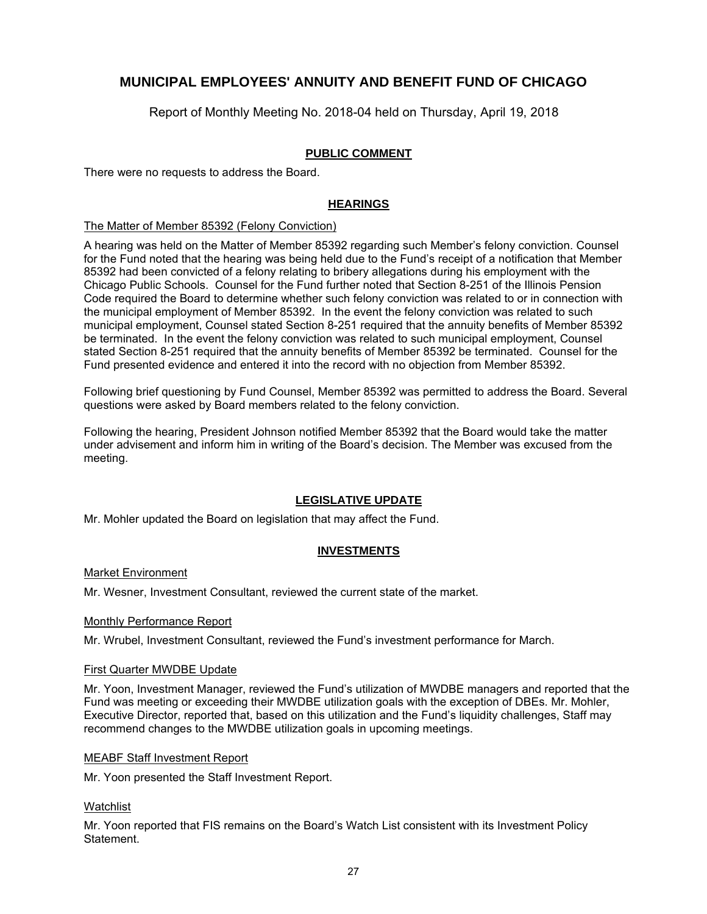Report of Monthly Meeting No. 2018-04 held on Thursday, April 19, 2018

### **PUBLIC COMMENT**

There were no requests to address the Board.

### **HEARINGS**

#### The Matter of Member 85392 (Felony Conviction)

A hearing was held on the Matter of Member 85392 regarding such Member's felony conviction. Counsel for the Fund noted that the hearing was being held due to the Fund's receipt of a notification that Member 85392 had been convicted of a felony relating to bribery allegations during his employment with the Chicago Public Schools. Counsel for the Fund further noted that Section 8-251 of the Illinois Pension Code required the Board to determine whether such felony conviction was related to or in connection with the municipal employment of Member 85392. In the event the felony conviction was related to such municipal employment, Counsel stated Section 8-251 required that the annuity benefits of Member 85392 be terminated. In the event the felony conviction was related to such municipal employment, Counsel stated Section 8-251 required that the annuity benefits of Member 85392 be terminated. Counsel for the Fund presented evidence and entered it into the record with no objection from Member 85392.

Following brief questioning by Fund Counsel, Member 85392 was permitted to address the Board. Several questions were asked by Board members related to the felony conviction.

Following the hearing, President Johnson notified Member 85392 that the Board would take the matter under advisement and inform him in writing of the Board's decision. The Member was excused from the meeting.

### **LEGISLATIVE UPDATE**

Mr. Mohler updated the Board on legislation that may affect the Fund.

### **INVESTMENTS**

#### Market Environment

Mr. Wesner, Investment Consultant, reviewed the current state of the market.

#### Monthly Performance Report

Mr. Wrubel, Investment Consultant, reviewed the Fund's investment performance for March.

#### First Quarter MWDBE Update

Mr. Yoon, Investment Manager, reviewed the Fund's utilization of MWDBE managers and reported that the Fund was meeting or exceeding their MWDBE utilization goals with the exception of DBEs. Mr. Mohler, Executive Director, reported that, based on this utilization and the Fund's liquidity challenges, Staff may recommend changes to the MWDBE utilization goals in upcoming meetings.

#### MEABF Staff Investment Report

Mr. Yoon presented the Staff Investment Report.

#### Watchlist

Mr. Yoon reported that FIS remains on the Board's Watch List consistent with its Investment Policy Statement.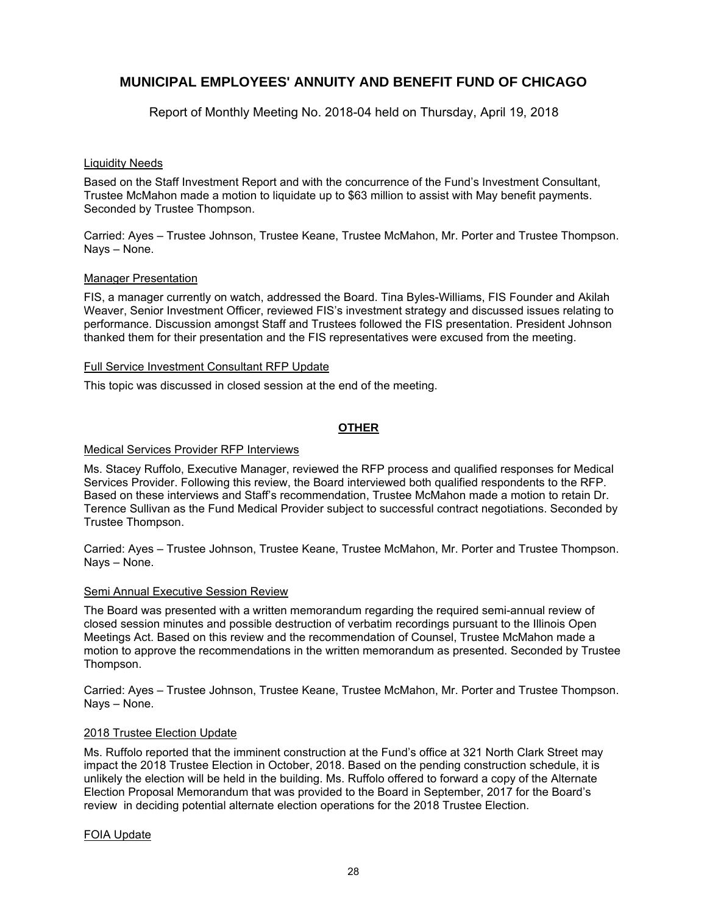Report of Monthly Meeting No. 2018-04 held on Thursday, April 19, 2018

### Liquidity Needs

Based on the Staff Investment Report and with the concurrence of the Fund's Investment Consultant, Trustee McMahon made a motion to liquidate up to \$63 million to assist with May benefit payments. Seconded by Trustee Thompson.

Carried: Ayes – Trustee Johnson, Trustee Keane, Trustee McMahon, Mr. Porter and Trustee Thompson. Nays – None.

#### Manager Presentation

FIS, a manager currently on watch, addressed the Board. Tina Byles-Williams, FIS Founder and Akilah Weaver, Senior Investment Officer, reviewed FIS's investment strategy and discussed issues relating to performance. Discussion amongst Staff and Trustees followed the FIS presentation. President Johnson thanked them for their presentation and the FIS representatives were excused from the meeting.

#### Full Service Investment Consultant RFP Update

This topic was discussed in closed session at the end of the meeting.

### **OTHER**

### Medical Services Provider RFP Interviews

Ms. Stacey Ruffolo, Executive Manager, reviewed the RFP process and qualified responses for Medical Services Provider. Following this review, the Board interviewed both qualified respondents to the RFP. Based on these interviews and Staff's recommendation, Trustee McMahon made a motion to retain Dr. Terence Sullivan as the Fund Medical Provider subject to successful contract negotiations. Seconded by Trustee Thompson.

Carried: Ayes – Trustee Johnson, Trustee Keane, Trustee McMahon, Mr. Porter and Trustee Thompson. Nays – None.

#### Semi Annual Executive Session Review

The Board was presented with a written memorandum regarding the required semi-annual review of closed session minutes and possible destruction of verbatim recordings pursuant to the Illinois Open Meetings Act. Based on this review and the recommendation of Counsel, Trustee McMahon made a motion to approve the recommendations in the written memorandum as presented. Seconded by Trustee Thompson.

Carried: Ayes – Trustee Johnson, Trustee Keane, Trustee McMahon, Mr. Porter and Trustee Thompson. Nays – None.

#### 2018 Trustee Election Update

Ms. Ruffolo reported that the imminent construction at the Fund's office at 321 North Clark Street may impact the 2018 Trustee Election in October, 2018. Based on the pending construction schedule, it is unlikely the election will be held in the building. Ms. Ruffolo offered to forward a copy of the Alternate Election Proposal Memorandum that was provided to the Board in September, 2017 for the Board's review in deciding potential alternate election operations for the 2018 Trustee Election.

#### FOIA Update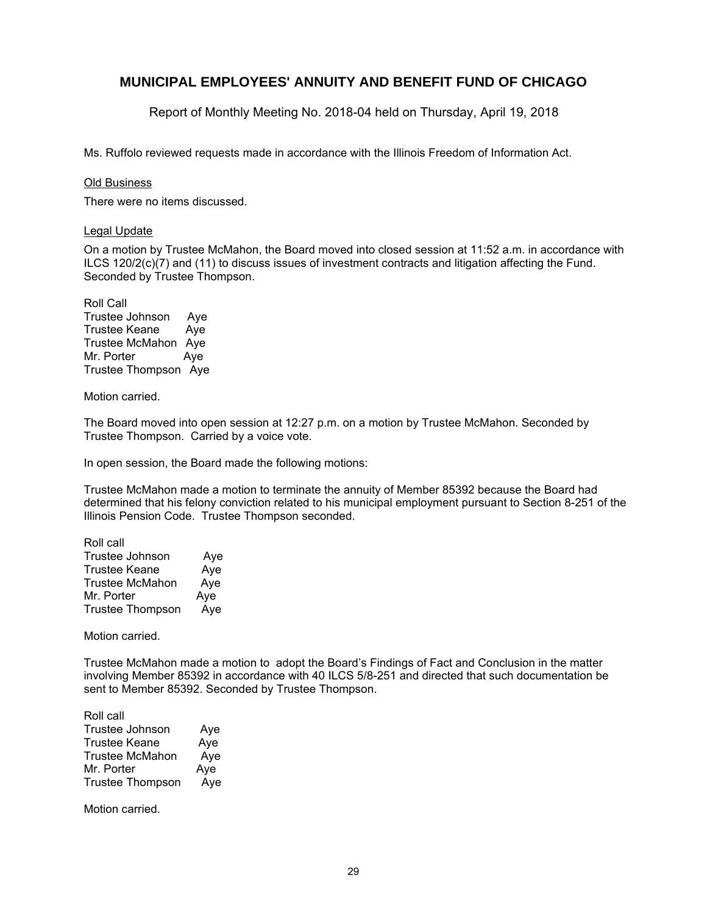Report of Monthly Meeting No. 2018-04 held on Thursday, April 19, 2018

Ms. Ruffolo reviewed requests made in accordance with the Illinois Freedom of Information Act.

#### Old Business

There were no items discussed.

#### Legal Update

On a motion by Trustee McMahon, the Board moved into closed session at 11:52 a.m. in accordance with ILCS 120/2(c)(7) and (11) to discuss issues of investment contracts and litigation affecting the Fund. Seconded by Trustee Thompson.

Roll Call Trustee Johnson Aye Trustee Keane Aye Trustee McMahon Aye Mr. Porter Aye Trustee Thompson Aye

Motion carried.

The Board moved into open session at 12:27 p.m. on a motion by Trustee McMahon. Seconded by Trustee Thompson. Carried by a voice vote.

In open session, the Board made the following motions:

Trustee McMahon made a motion to terminate the annuity of Member 85392 because the Board had determined that his felony conviction related to his municipal employment pursuant to Section 8-251 of the Illinois Pension Code. Trustee Thompson seconded.

| Roll call               |     |
|-------------------------|-----|
| <b>Trustee Johnson</b>  | Aye |
| Trustee Keane           | Aye |
| <b>Trustee McMahon</b>  | Aye |
| Mr. Porter              | Aye |
| <b>Trustee Thompson</b> | Aye |

Motion carried.

Trustee McMahon made a motion to adopt the Board's Findings of Fact and Conclusion in the matter involving Member 85392 in accordance with 40 ILCS 5/8-251 and directed that such documentation be sent to Member 85392. Seconded by Trustee Thompson.

| Roll call               |     |
|-------------------------|-----|
| <b>Trustee Johnson</b>  | Aye |
| Trustee Keane           | Aye |
| Trustee McMahon         | Aye |
| Mr. Porter              | Aye |
| <b>Trustee Thompson</b> | Aye |

Motion carried.